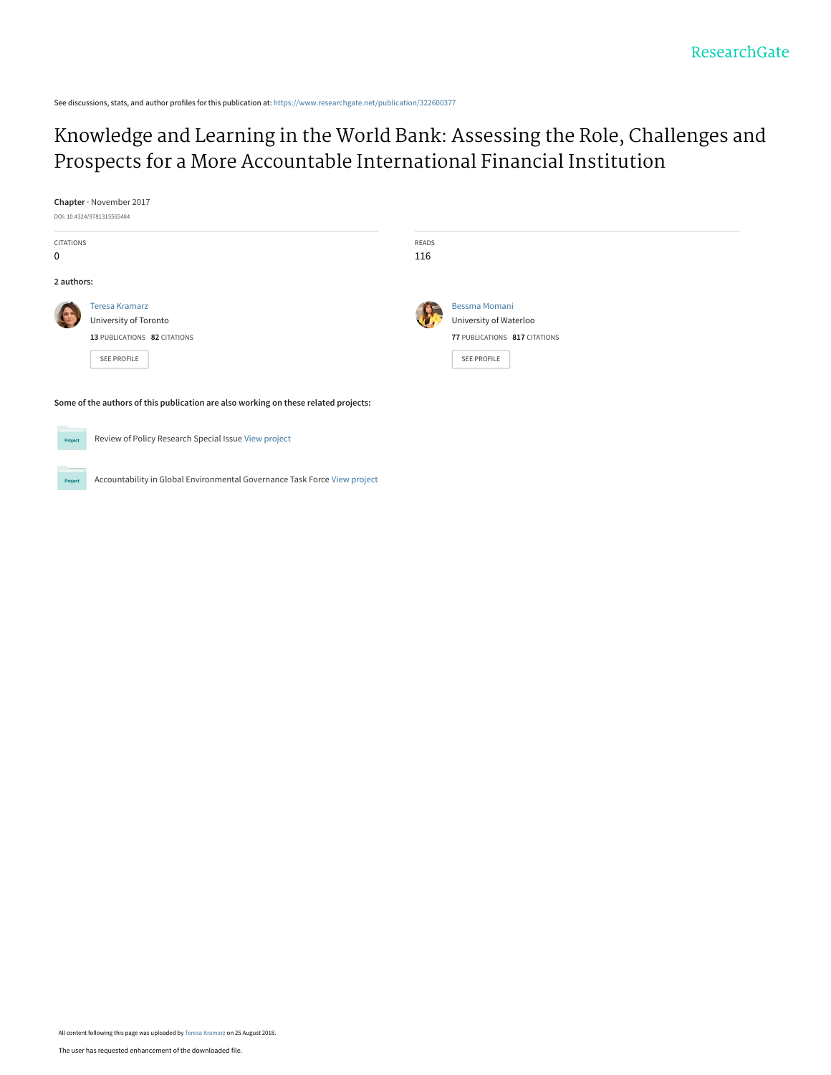See discussions, stats, and author profiles for this publication at: [https://www.researchgate.net/publication/322600377](https://www.researchgate.net/publication/322600377_Knowledge_and_Learning_in_the_World_Bank_Assessing_the_Role_Challenges_and_Prospects_for_a_More_Accountable_International_Financial_Institution?enrichId=rgreq-a13ea23b3e2313cab5100f8ab0e8c7af-XXX&enrichSource=Y292ZXJQYWdlOzMyMjYwMDM3NztBUzo2NjM1ODIzMzc0MjU0MDlAMTUzNTIyMTc2NjYxMw%3D%3D&el=1_x_2&_esc=publicationCoverPdf)

[Knowledge and Learning in the World Bank: Assessing the Role, Challenges and](https://www.researchgate.net/publication/322600377_Knowledge_and_Learning_in_the_World_Bank_Assessing_the_Role_Challenges_and_Prospects_for_a_More_Accountable_International_Financial_Institution?enrichId=rgreq-a13ea23b3e2313cab5100f8ab0e8c7af-XXX&enrichSource=Y292ZXJQYWdlOzMyMjYwMDM3NztBUzo2NjM1ODIzMzc0MjU0MDlAMTUzNTIyMTc2NjYxMw%3D%3D&el=1_x_3&_esc=publicationCoverPdf) Prospects for a More Accountable International Financial Institution

| Chapter · November 2017<br>DOI: 10.4324/9781315565484                               |                                                                                               |                     |                                                                                                |
|-------------------------------------------------------------------------------------|-----------------------------------------------------------------------------------------------|---------------------|------------------------------------------------------------------------------------------------|
| <b>CITATIONS</b><br>0                                                               |                                                                                               | <b>READS</b><br>116 |                                                                                                |
| 2 authors:                                                                          |                                                                                               |                     |                                                                                                |
|                                                                                     | <b>Teresa Kramarz</b><br>University of Toronto<br>13 PUBLICATIONS 82 CITATIONS<br>SEE PROFILE |                     | Bessma Momani<br>University of Waterloo<br>77 PUBLICATIONS 817 CITATIONS<br><b>SEE PROFILE</b> |
| Some of the authors of this publication are also working on these related projects: |                                                                                               |                     |                                                                                                |
| Review of Policy Research Special Issue View project<br>Project                     |                                                                                               |                     |                                                                                                |

Accountability in Global Environmental Governance Task Force [View project](https://www.researchgate.net/project/Accountability-in-Global-Environmental-Governance-Task-Force?enrichId=rgreq-a13ea23b3e2313cab5100f8ab0e8c7af-XXX&enrichSource=Y292ZXJQYWdlOzMyMjYwMDM3NztBUzo2NjM1ODIzMzc0MjU0MDlAMTUzNTIyMTc2NjYxMw%3D%3D&el=1_x_9&_esc=publicationCoverPdf) Project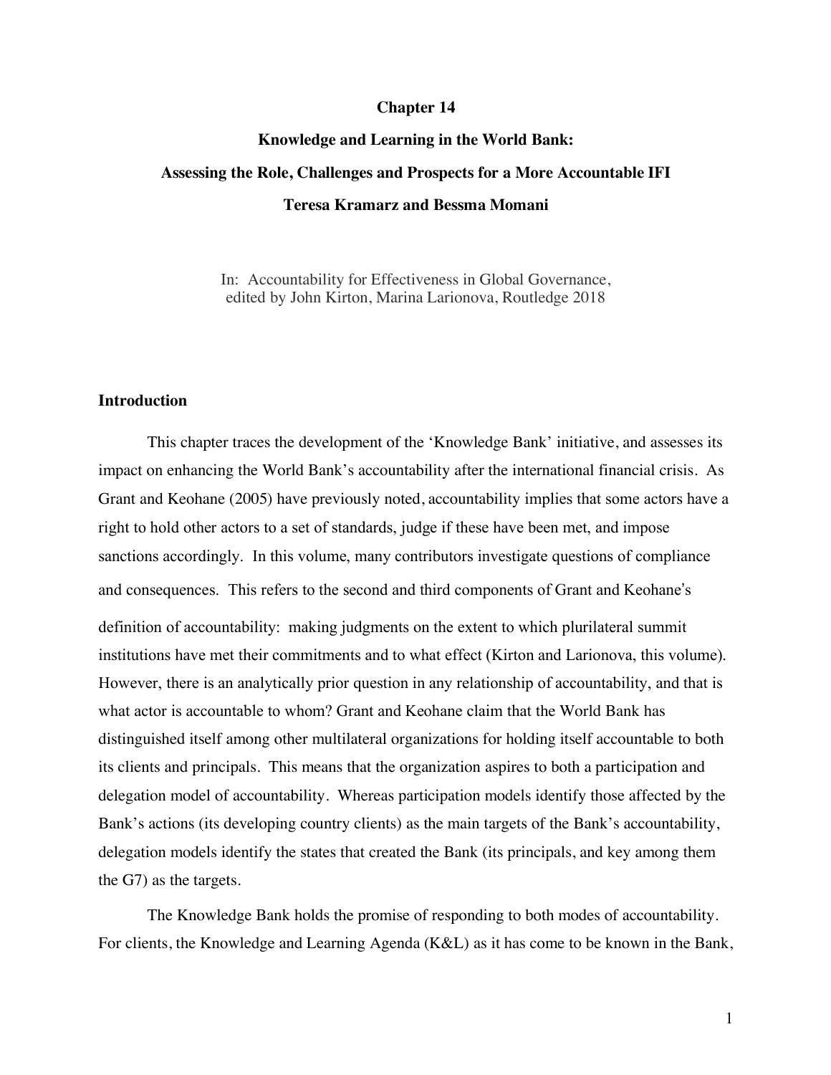#### **Chapter 14**

# **Knowledge and Learning in the World Bank: Assessing the Role, Challenges and Prospects for a More Accountable IFI Teresa Kramarz and Bessma Momani**

In: Accountability for Effectiveness in Global Governance, edited by John Kirton, Marina Larionova, Routledge 2018

### **Introduction**

This chapter traces the development of the 'Knowledge Bank' initiative, and assesses its impact on enhancing the World Bank's accountability after the international financial crisis. As Grant and Keohane (2005) have previously noted, accountability implies that some actors have a right to hold other actors to a set of standards, judge if these have been met, and impose sanctions accordingly. In this volume, many contributors investigate questions of compliance and consequences. This refers to the second and third components of Grant and Keohane's definition of accountability: making judgments on the extent to which plurilateral summit institutions have met their commitments and to what effect (Kirton and Larionova, this volume). However, there is an analytically prior question in any relationship of accountability, and that is what actor is accountable to whom? Grant and Keohane claim that the World Bank has distinguished itself among other multilateral organizations for holding itself accountable to both its clients and principals. This means that the organization aspires to both a participation and delegation model of accountability. Whereas participation models identify those affected by the Bank's actions (its developing country clients) as the main targets of the Bank's accountability, delegation models identify the states that created the Bank (its principals, and key among them the G7) as the targets.

The Knowledge Bank holds the promise of responding to both modes of accountability. For clients, the Knowledge and Learning Agenda (K&L) as it has come to be known in the Bank,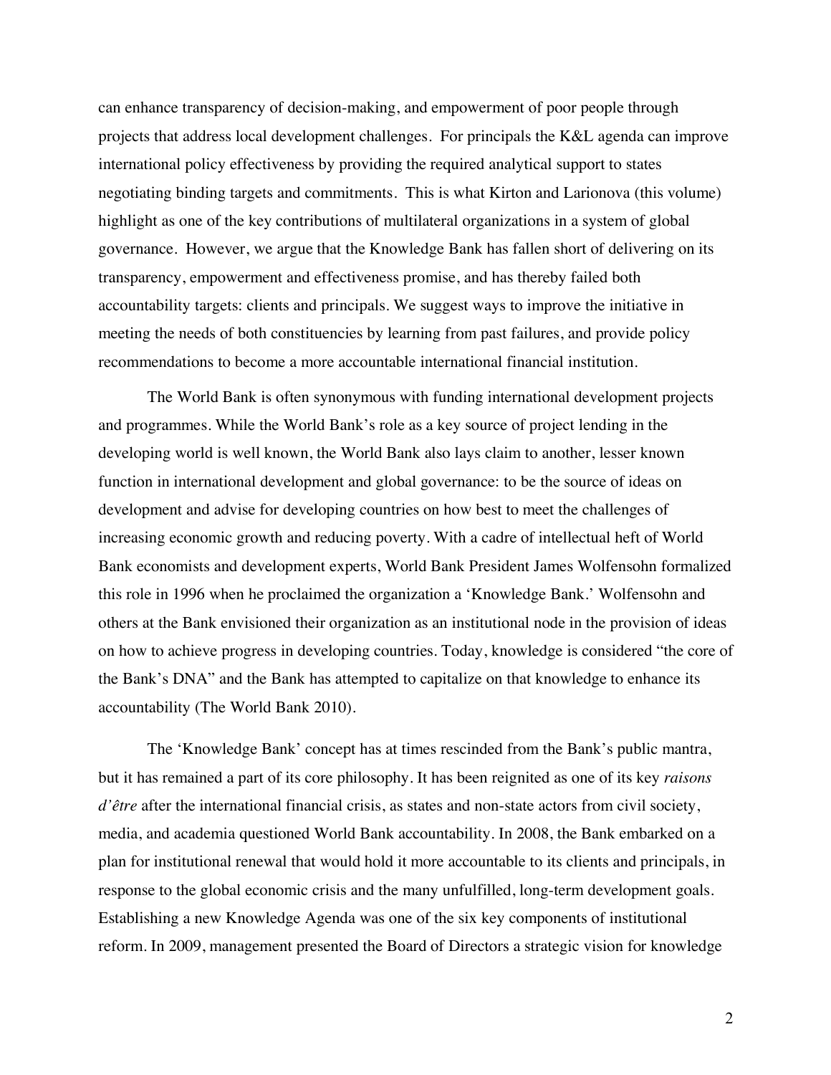can enhance transparency of decision-making, and empowerment of poor people through projects that address local development challenges. For principals the K&L agenda can improve international policy effectiveness by providing the required analytical support to states negotiating binding targets and commitments. This is what Kirton and Larionova (this volume) highlight as one of the key contributions of multilateral organizations in a system of global governance. However, we argue that the Knowledge Bank has fallen short of delivering on its transparency, empowerment and effectiveness promise, and has thereby failed both accountability targets: clients and principals. We suggest ways to improve the initiative in meeting the needs of both constituencies by learning from past failures, and provide policy recommendations to become a more accountable international financial institution.

The World Bank is often synonymous with funding international development projects and programmes. While the World Bank's role as a key source of project lending in the developing world is well known, the World Bank also lays claim to another, lesser known function in international development and global governance: to be the source of ideas on development and advise for developing countries on how best to meet the challenges of increasing economic growth and reducing poverty. With a cadre of intellectual heft of World Bank economists and development experts, World Bank President James Wolfensohn formalized this role in 1996 when he proclaimed the organization a 'Knowledge Bank.' Wolfensohn and others at the Bank envisioned their organization as an institutional node in the provision of ideas on how to achieve progress in developing countries. Today, knowledge is considered "the core of the Bank's DNA" and the Bank has attempted to capitalize on that knowledge to enhance its accountability (The World Bank 2010).

The 'Knowledge Bank' concept has at times rescinded from the Bank's public mantra, but it has remained a part of its core philosophy. It has been reignited as one of its key *raisons d'être* after the international financial crisis, as states and non-state actors from civil society, media, and academia questioned World Bank accountability. In 2008, the Bank embarked on a plan for institutional renewal that would hold it more accountable to its clients and principals, in response to the global economic crisis and the many unfulfilled, long-term development goals. Establishing a new Knowledge Agenda was one of the six key components of institutional reform. In 2009, management presented the Board of Directors a strategic vision for knowledge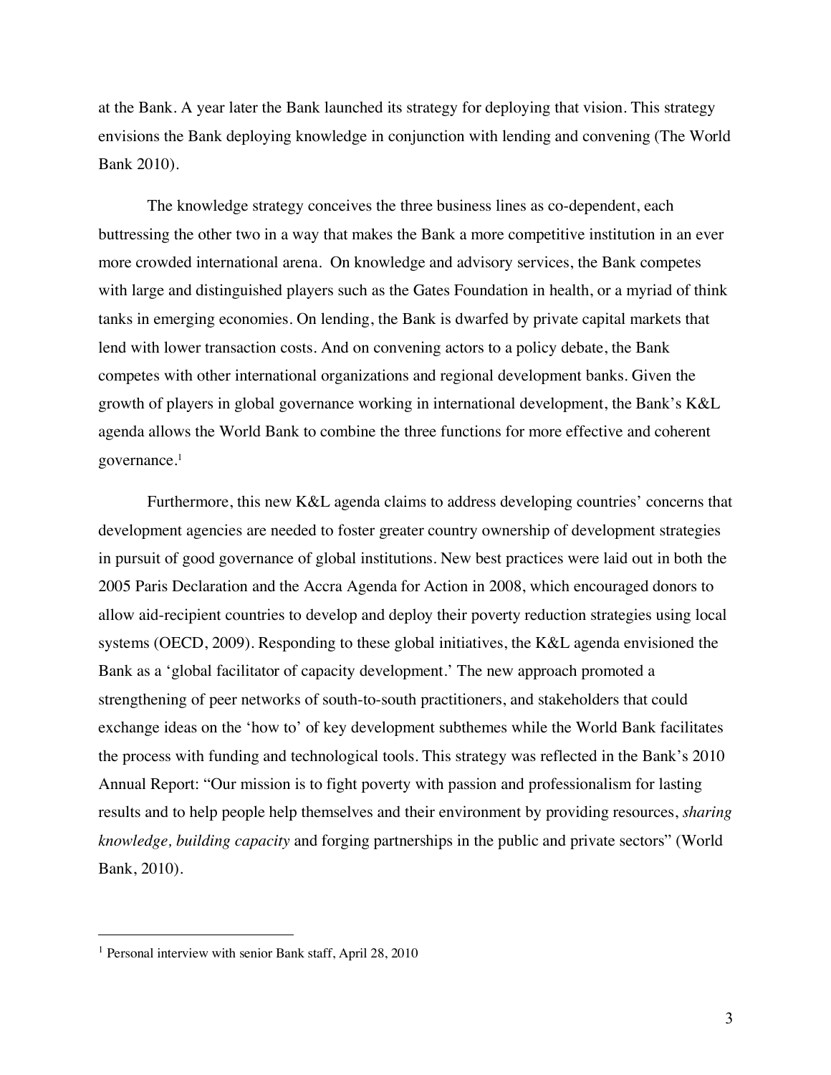at the Bank. A year later the Bank launched its strategy for deploying that vision. This strategy envisions the Bank deploying knowledge in conjunction with lending and convening (The World Bank 2010).

The knowledge strategy conceives the three business lines as co-dependent, each buttressing the other two in a way that makes the Bank a more competitive institution in an ever more crowded international arena. On knowledge and advisory services, the Bank competes with large and distinguished players such as the Gates Foundation in health, or a myriad of think tanks in emerging economies. On lending, the Bank is dwarfed by private capital markets that lend with lower transaction costs. And on convening actors to a policy debate, the Bank competes with other international organizations and regional development banks. Given the growth of players in global governance working in international development, the Bank's K&L agenda allows the World Bank to combine the three functions for more effective and coherent governance.1

Furthermore, this new K&L agenda claims to address developing countries' concerns that development agencies are needed to foster greater country ownership of development strategies in pursuit of good governance of global institutions. New best practices were laid out in both the 2005 Paris Declaration and the Accra Agenda for Action in 2008, which encouraged donors to allow aid-recipient countries to develop and deploy their poverty reduction strategies using local systems (OECD, 2009). Responding to these global initiatives, the K&L agenda envisioned the Bank as a 'global facilitator of capacity development.' The new approach promoted a strengthening of peer networks of south-to-south practitioners, and stakeholders that could exchange ideas on the 'how to' of key development subthemes while the World Bank facilitates the process with funding and technological tools. This strategy was reflected in the Bank's 2010 Annual Report: "Our mission is to fight poverty with passion and professionalism for lasting results and to help people help themselves and their environment by providing resources, *sharing knowledge, building capacity* and forging partnerships in the public and private sectors" (World Bank, 2010).

<u>.</u>

<sup>1</sup> Personal interview with senior Bank staff, April 28, 2010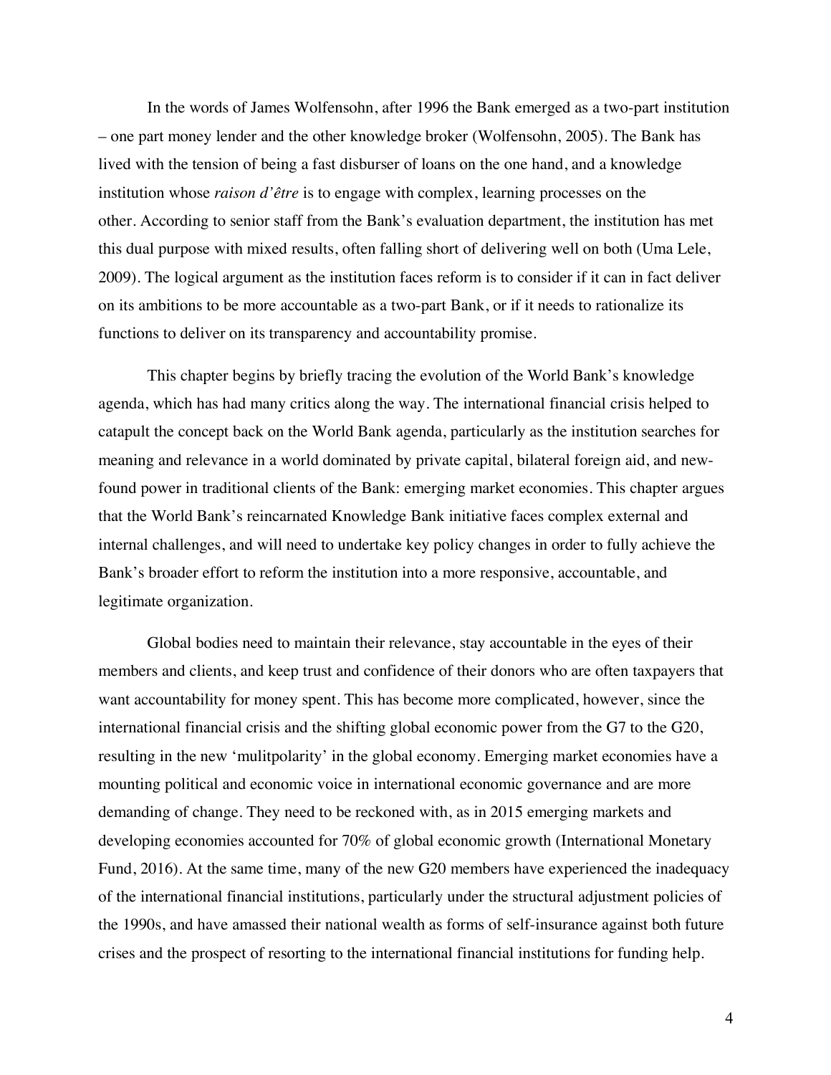In the words of James Wolfensohn, after 1996 the Bank emerged as a two-part institution – one part money lender and the other knowledge broker (Wolfensohn, 2005). The Bank has lived with the tension of being a fast disburser of loans on the one hand, and a knowledge institution whose *raison d'être* is to engage with complex, learning processes on the other. According to senior staff from the Bank's evaluation department, the institution has met this dual purpose with mixed results, often falling short of delivering well on both (Uma Lele, 2009). The logical argument as the institution faces reform is to consider if it can in fact deliver on its ambitions to be more accountable as a two-part Bank, or if it needs to rationalize its functions to deliver on its transparency and accountability promise.

This chapter begins by briefly tracing the evolution of the World Bank's knowledge agenda, which has had many critics along the way. The international financial crisis helped to catapult the concept back on the World Bank agenda, particularly as the institution searches for meaning and relevance in a world dominated by private capital, bilateral foreign aid, and newfound power in traditional clients of the Bank: emerging market economies. This chapter argues that the World Bank's reincarnated Knowledge Bank initiative faces complex external and internal challenges, and will need to undertake key policy changes in order to fully achieve the Bank's broader effort to reform the institution into a more responsive, accountable, and legitimate organization.

Global bodies need to maintain their relevance, stay accountable in the eyes of their members and clients, and keep trust and confidence of their donors who are often taxpayers that want accountability for money spent. This has become more complicated, however, since the international financial crisis and the shifting global economic power from the G7 to the G20, resulting in the new 'mulitpolarity' in the global economy. Emerging market economies have a mounting political and economic voice in international economic governance and are more demanding of change. They need to be reckoned with, as in 2015 emerging markets and developing economies accounted for 70% of global economic growth (International Monetary Fund, 2016). At the same time, many of the new G20 members have experienced the inadequacy of the international financial institutions, particularly under the structural adjustment policies of the 1990s, and have amassed their national wealth as forms of self-insurance against both future crises and the prospect of resorting to the international financial institutions for funding help.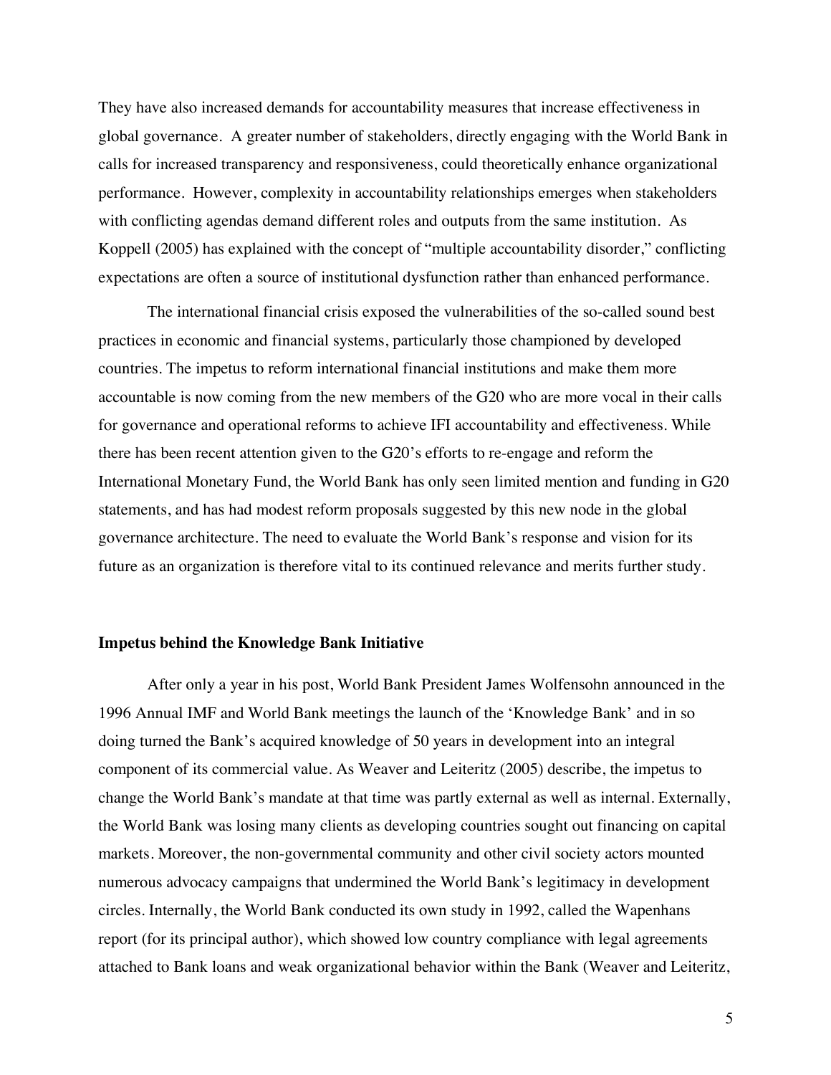They have also increased demands for accountability measures that increase effectiveness in global governance. A greater number of stakeholders, directly engaging with the World Bank in calls for increased transparency and responsiveness, could theoretically enhance organizational performance. However, complexity in accountability relationships emerges when stakeholders with conflicting agendas demand different roles and outputs from the same institution. As Koppell (2005) has explained with the concept of "multiple accountability disorder," conflicting expectations are often a source of institutional dysfunction rather than enhanced performance.

The international financial crisis exposed the vulnerabilities of the so-called sound best practices in economic and financial systems, particularly those championed by developed countries. The impetus to reform international financial institutions and make them more accountable is now coming from the new members of the G20 who are more vocal in their calls for governance and operational reforms to achieve IFI accountability and effectiveness. While there has been recent attention given to the G20's efforts to re-engage and reform the International Monetary Fund, the World Bank has only seen limited mention and funding in G20 statements, and has had modest reform proposals suggested by this new node in the global governance architecture. The need to evaluate the World Bank's response and vision for its future as an organization is therefore vital to its continued relevance and merits further study.

### **Impetus behind the Knowledge Bank Initiative**

After only a year in his post, World Bank President James Wolfensohn announced in the 1996 Annual IMF and World Bank meetings the launch of the 'Knowledge Bank' and in so doing turned the Bank's acquired knowledge of 50 years in development into an integral component of its commercial value. As Weaver and Leiteritz (2005) describe, the impetus to change the World Bank's mandate at that time was partly external as well as internal. Externally, the World Bank was losing many clients as developing countries sought out financing on capital markets. Moreover, the non-governmental community and other civil society actors mounted numerous advocacy campaigns that undermined the World Bank's legitimacy in development circles. Internally, the World Bank conducted its own study in 1992, called the Wapenhans report (for its principal author), which showed low country compliance with legal agreements attached to Bank loans and weak organizational behavior within the Bank (Weaver and Leiteritz,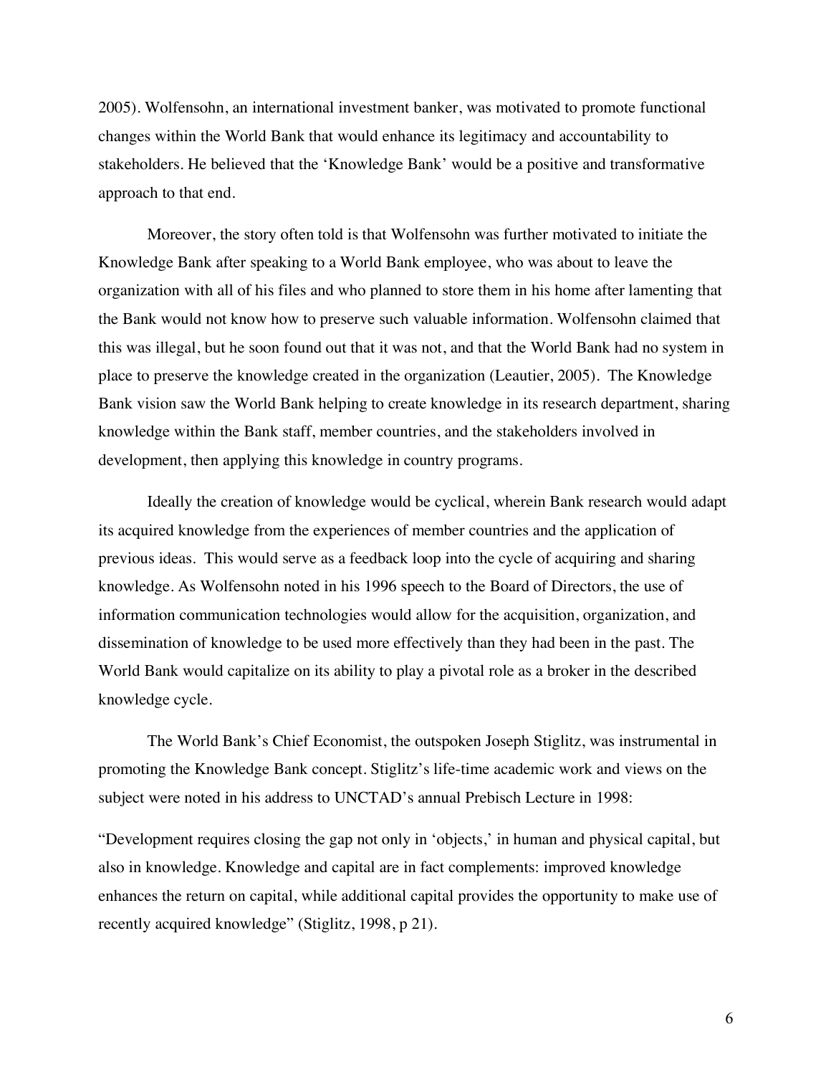2005). Wolfensohn, an international investment banker, was motivated to promote functional changes within the World Bank that would enhance its legitimacy and accountability to stakeholders. He believed that the 'Knowledge Bank' would be a positive and transformative approach to that end.

Moreover, the story often told is that Wolfensohn was further motivated to initiate the Knowledge Bank after speaking to a World Bank employee, who was about to leave the organization with all of his files and who planned to store them in his home after lamenting that the Bank would not know how to preserve such valuable information. Wolfensohn claimed that this was illegal, but he soon found out that it was not, and that the World Bank had no system in place to preserve the knowledge created in the organization (Leautier, 2005). The Knowledge Bank vision saw the World Bank helping to create knowledge in its research department, sharing knowledge within the Bank staff, member countries, and the stakeholders involved in development, then applying this knowledge in country programs.

Ideally the creation of knowledge would be cyclical, wherein Bank research would adapt its acquired knowledge from the experiences of member countries and the application of previous ideas. This would serve as a feedback loop into the cycle of acquiring and sharing knowledge. As Wolfensohn noted in his 1996 speech to the Board of Directors, the use of information communication technologies would allow for the acquisition, organization, and dissemination of knowledge to be used more effectively than they had been in the past. The World Bank would capitalize on its ability to play a pivotal role as a broker in the described knowledge cycle.

The World Bank's Chief Economist, the outspoken Joseph Stiglitz, was instrumental in promoting the Knowledge Bank concept. Stiglitz's life-time academic work and views on the subject were noted in his address to UNCTAD's annual Prebisch Lecture in 1998:

"Development requires closing the gap not only in 'objects,' in human and physical capital, but also in knowledge. Knowledge and capital are in fact complements: improved knowledge enhances the return on capital, while additional capital provides the opportunity to make use of recently acquired knowledge" (Stiglitz, 1998, p 21).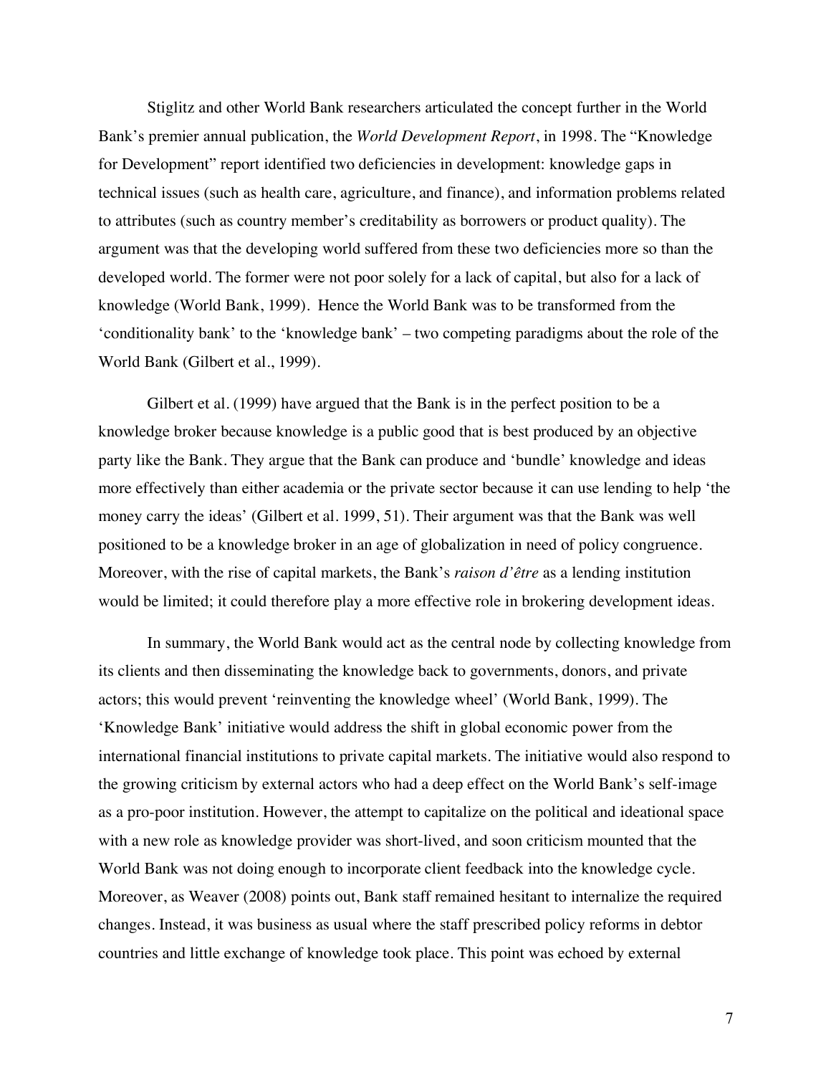Stiglitz and other World Bank researchers articulated the concept further in the World Bank's premier annual publication, the *World Development Report*, in 1998. The "Knowledge for Development" report identified two deficiencies in development: knowledge gaps in technical issues (such as health care, agriculture, and finance), and information problems related to attributes (such as country member's creditability as borrowers or product quality). The argument was that the developing world suffered from these two deficiencies more so than the developed world. The former were not poor solely for a lack of capital, but also for a lack of knowledge (World Bank, 1999). Hence the World Bank was to be transformed from the 'conditionality bank' to the 'knowledge bank' – two competing paradigms about the role of the World Bank (Gilbert et al., 1999).

Gilbert et al. (1999) have argued that the Bank is in the perfect position to be a knowledge broker because knowledge is a public good that is best produced by an objective party like the Bank. They argue that the Bank can produce and 'bundle' knowledge and ideas more effectively than either academia or the private sector because it can use lending to help 'the money carry the ideas' (Gilbert et al. 1999, 51). Their argument was that the Bank was well positioned to be a knowledge broker in an age of globalization in need of policy congruence. Moreover, with the rise of capital markets, the Bank's *raison d'être* as a lending institution would be limited; it could therefore play a more effective role in brokering development ideas.

In summary, the World Bank would act as the central node by collecting knowledge from its clients and then disseminating the knowledge back to governments, donors, and private actors; this would prevent 'reinventing the knowledge wheel' (World Bank, 1999). The 'Knowledge Bank' initiative would address the shift in global economic power from the international financial institutions to private capital markets. The initiative would also respond to the growing criticism by external actors who had a deep effect on the World Bank's self-image as a pro-poor institution. However, the attempt to capitalize on the political and ideational space with a new role as knowledge provider was short-lived, and soon criticism mounted that the World Bank was not doing enough to incorporate client feedback into the knowledge cycle. Moreover, as Weaver (2008) points out, Bank staff remained hesitant to internalize the required changes. Instead, it was business as usual where the staff prescribed policy reforms in debtor countries and little exchange of knowledge took place. This point was echoed by external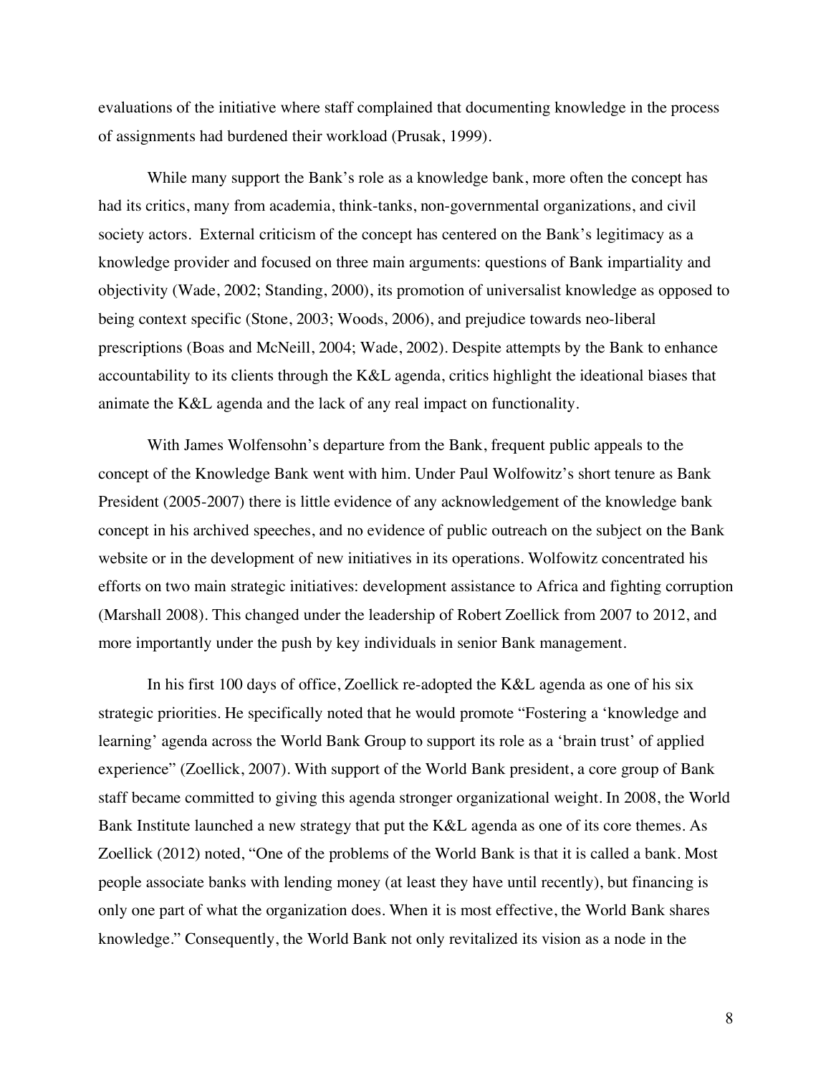evaluations of the initiative where staff complained that documenting knowledge in the process of assignments had burdened their workload (Prusak, 1999).

While many support the Bank's role as a knowledge bank, more often the concept has had its critics, many from academia, think-tanks, non-governmental organizations, and civil society actors. External criticism of the concept has centered on the Bank's legitimacy as a knowledge provider and focused on three main arguments: questions of Bank impartiality and objectivity (Wade, 2002; Standing, 2000), its promotion of universalist knowledge as opposed to being context specific (Stone, 2003; Woods, 2006), and prejudice towards neo-liberal prescriptions (Boas and McNeill, 2004; Wade, 2002). Despite attempts by the Bank to enhance accountability to its clients through the K&L agenda, critics highlight the ideational biases that animate the K&L agenda and the lack of any real impact on functionality.

With James Wolfensohn's departure from the Bank, frequent public appeals to the concept of the Knowledge Bank went with him. Under Paul Wolfowitz's short tenure as Bank President (2005-2007) there is little evidence of any acknowledgement of the knowledge bank concept in his archived speeches, and no evidence of public outreach on the subject on the Bank website or in the development of new initiatives in its operations. Wolfowitz concentrated his efforts on two main strategic initiatives: development assistance to Africa and fighting corruption (Marshall 2008). This changed under the leadership of Robert Zoellick from 2007 to 2012, and more importantly under the push by key individuals in senior Bank management.

In his first 100 days of office, Zoellick re-adopted the K&L agenda as one of his six strategic priorities. He specifically noted that he would promote "Fostering a 'knowledge and learning' agenda across the World Bank Group to support its role as a 'brain trust' of applied experience" (Zoellick, 2007). With support of the World Bank president, a core group of Bank staff became committed to giving this agenda stronger organizational weight. In 2008, the World Bank Institute launched a new strategy that put the K&L agenda as one of its core themes. As Zoellick (2012) noted, "One of the problems of the World Bank is that it is called a bank. Most people associate banks with lending money (at least they have until recently), but financing is only one part of what the organization does. When it is most effective, the World Bank shares knowledge." Consequently, the World Bank not only revitalized its vision as a node in the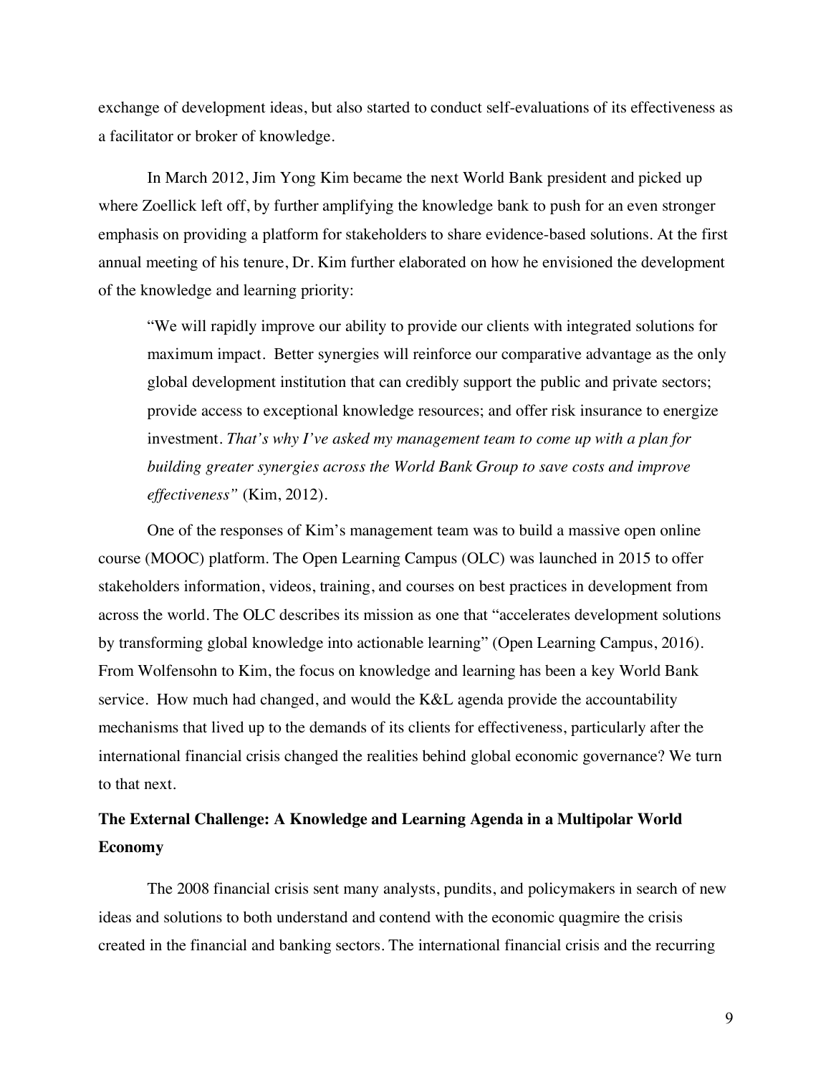exchange of development ideas, but also started to conduct self-evaluations of its effectiveness as a facilitator or broker of knowledge.

In March 2012, Jim Yong Kim became the next World Bank president and picked up where Zoellick left off, by further amplifying the knowledge bank to push for an even stronger emphasis on providing a platform for stakeholders to share evidence-based solutions. At the first annual meeting of his tenure, Dr. Kim further elaborated on how he envisioned the development of the knowledge and learning priority:

"We will rapidly improve our ability to provide our clients with integrated solutions for maximum impact. Better synergies will reinforce our comparative advantage as the only global development institution that can credibly support the public and private sectors; provide access to exceptional knowledge resources; and offer risk insurance to energize investment. *That's why I've asked my management team to come up with a plan for building greater synergies across the World Bank Group to save costs and improve effectiveness"* (Kim, 2012)*.*

One of the responses of Kim's management team was to build a massive open online course (MOOC) platform. The Open Learning Campus (OLC) was launched in 2015 to offer stakeholders information, videos, training, and courses on best practices in development from across the world. The OLC describes its mission as one that "accelerates development solutions by transforming global knowledge into actionable learning" (Open Learning Campus, 2016). From Wolfensohn to Kim, the focus on knowledge and learning has been a key World Bank service. How much had changed, and would the K&L agenda provide the accountability mechanisms that lived up to the demands of its clients for effectiveness, particularly after the international financial crisis changed the realities behind global economic governance? We turn to that next.

## **The External Challenge: A Knowledge and Learning Agenda in a Multipolar World Economy**

The 2008 financial crisis sent many analysts, pundits, and policymakers in search of new ideas and solutions to both understand and contend with the economic quagmire the crisis created in the financial and banking sectors. The international financial crisis and the recurring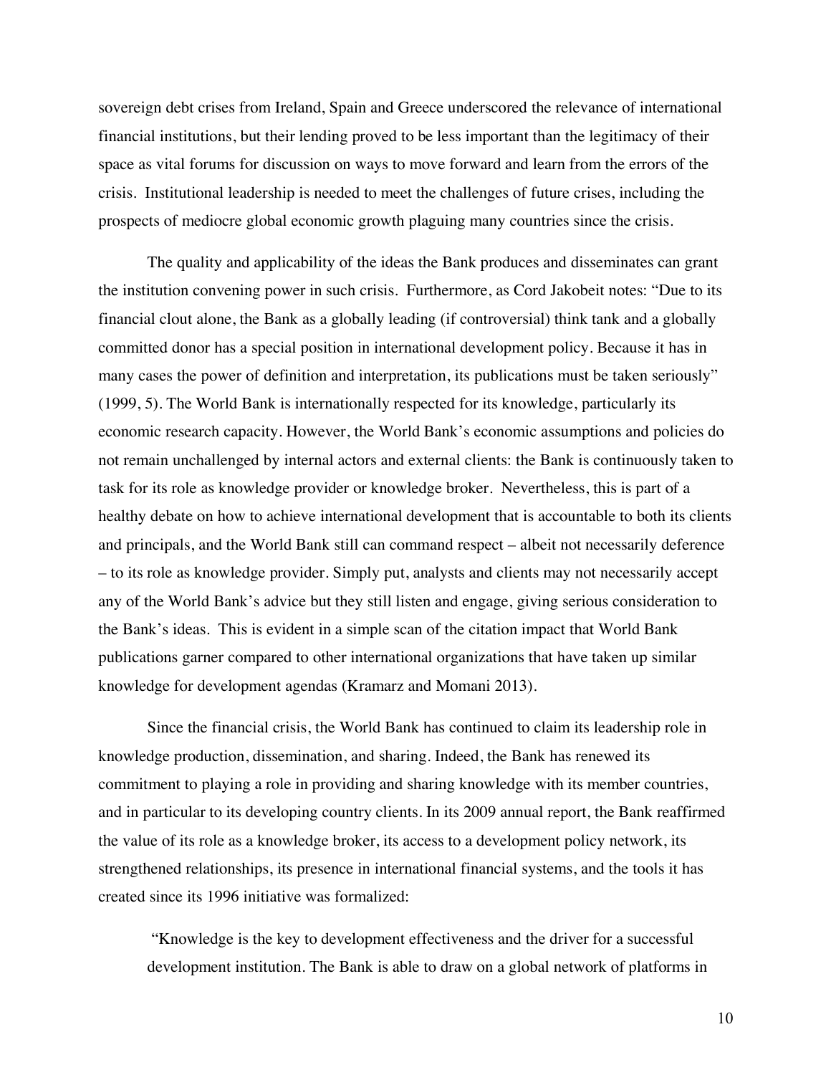sovereign debt crises from Ireland, Spain and Greece underscored the relevance of international financial institutions, but their lending proved to be less important than the legitimacy of their space as vital forums for discussion on ways to move forward and learn from the errors of the crisis. Institutional leadership is needed to meet the challenges of future crises, including the prospects of mediocre global economic growth plaguing many countries since the crisis.

The quality and applicability of the ideas the Bank produces and disseminates can grant the institution convening power in such crisis. Furthermore, as Cord Jakobeit notes: "Due to its financial clout alone, the Bank as a globally leading (if controversial) think tank and a globally committed donor has a special position in international development policy. Because it has in many cases the power of definition and interpretation, its publications must be taken seriously" (1999, 5). The World Bank is internationally respected for its knowledge, particularly its economic research capacity. However, the World Bank's economic assumptions and policies do not remain unchallenged by internal actors and external clients: the Bank is continuously taken to task for its role as knowledge provider or knowledge broker. Nevertheless, this is part of a healthy debate on how to achieve international development that is accountable to both its clients and principals, and the World Bank still can command respect – albeit not necessarily deference – to its role as knowledge provider. Simply put, analysts and clients may not necessarily accept any of the World Bank's advice but they still listen and engage, giving serious consideration to the Bank's ideas. This is evident in a simple scan of the citation impact that World Bank publications garner compared to other international organizations that have taken up similar knowledge for development agendas (Kramarz and Momani 2013).

Since the financial crisis, the World Bank has continued to claim its leadership role in knowledge production, dissemination, and sharing. Indeed, the Bank has renewed its commitment to playing a role in providing and sharing knowledge with its member countries, and in particular to its developing country clients. In its 2009 annual report, the Bank reaffirmed the value of its role as a knowledge broker, its access to a development policy network, its strengthened relationships, its presence in international financial systems, and the tools it has created since its 1996 initiative was formalized:

"Knowledge is the key to development effectiveness and the driver for a successful development institution. The Bank is able to draw on a global network of platforms in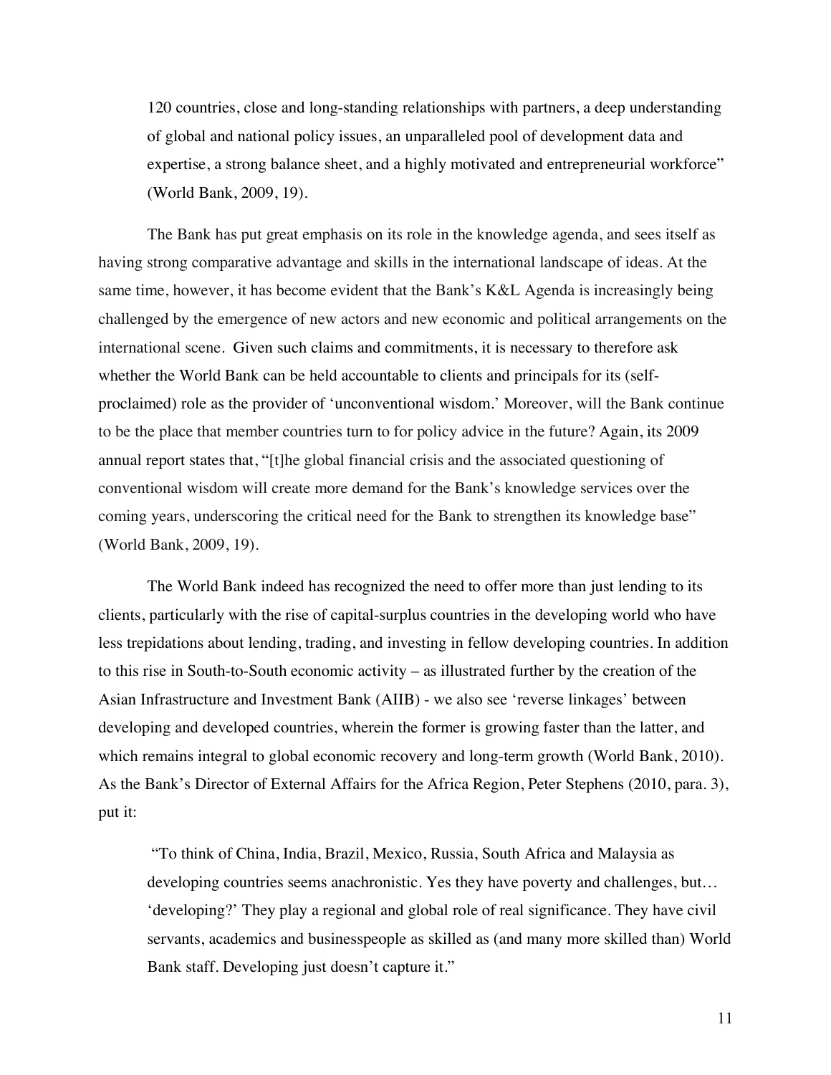120 countries, close and long-standing relationships with partners, a deep understanding of global and national policy issues, an unparalleled pool of development data and expertise, a strong balance sheet, and a highly motivated and entrepreneurial workforce" (World Bank, 2009, 19).

The Bank has put great emphasis on its role in the knowledge agenda, and sees itself as having strong comparative advantage and skills in the international landscape of ideas. At the same time, however, it has become evident that the Bank's K&L Agenda is increasingly being challenged by the emergence of new actors and new economic and political arrangements on the international scene. Given such claims and commitments, it is necessary to therefore ask whether the World Bank can be held accountable to clients and principals for its (selfproclaimed) role as the provider of 'unconventional wisdom.' Moreover, will the Bank continue to be the place that member countries turn to for policy advice in the future? Again, its 2009 annual report states that, "[t]he global financial crisis and the associated questioning of conventional wisdom will create more demand for the Bank's knowledge services over the coming years, underscoring the critical need for the Bank to strengthen its knowledge base" (World Bank, 2009, 19).

The World Bank indeed has recognized the need to offer more than just lending to its clients, particularly with the rise of capital-surplus countries in the developing world who have less trepidations about lending, trading, and investing in fellow developing countries. In addition to this rise in South-to-South economic activity – as illustrated further by the creation of the Asian Infrastructure and Investment Bank (AIIB) - we also see 'reverse linkages' between developing and developed countries, wherein the former is growing faster than the latter, and which remains integral to global economic recovery and long-term growth (World Bank, 2010). As the Bank's Director of External Affairs for the Africa Region, Peter Stephens (2010, para. 3), put it:

"To think of China, India, Brazil, Mexico, Russia, South Africa and Malaysia as developing countries seems anachronistic. Yes they have poverty and challenges, but… 'developing?' They play a regional and global role of real significance. They have civil servants, academics and businesspeople as skilled as (and many more skilled than) World Bank staff. Developing just doesn't capture it."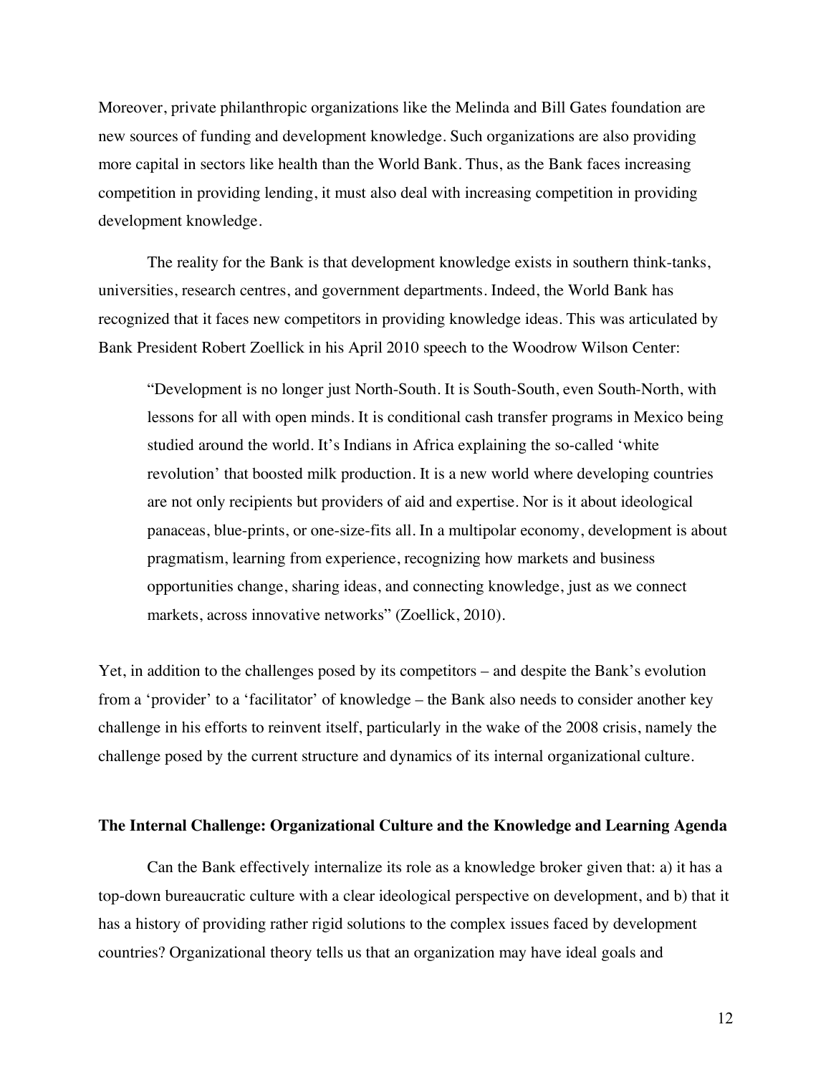Moreover, private philanthropic organizations like the Melinda and Bill Gates foundation are new sources of funding and development knowledge. Such organizations are also providing more capital in sectors like health than the World Bank. Thus, as the Bank faces increasing competition in providing lending, it must also deal with increasing competition in providing development knowledge.

The reality for the Bank is that development knowledge exists in southern think-tanks, universities, research centres, and government departments. Indeed, the World Bank has recognized that it faces new competitors in providing knowledge ideas. This was articulated by Bank President Robert Zoellick in his April 2010 speech to the Woodrow Wilson Center:

"Development is no longer just North-South. It is South-South, even South-North, with lessons for all with open minds. It is conditional cash transfer programs in Mexico being studied around the world. It's Indians in Africa explaining the so-called 'white revolution' that boosted milk production. It is a new world where developing countries are not only recipients but providers of aid and expertise. Nor is it about ideological panaceas, blue-prints, or one-size-fits all. In a multipolar economy, development is about pragmatism, learning from experience, recognizing how markets and business opportunities change, sharing ideas, and connecting knowledge, just as we connect markets, across innovative networks" (Zoellick, 2010).

Yet, in addition to the challenges posed by its competitors – and despite the Bank's evolution from a 'provider' to a 'facilitator' of knowledge – the Bank also needs to consider another key challenge in his efforts to reinvent itself, particularly in the wake of the 2008 crisis, namely the challenge posed by the current structure and dynamics of its internal organizational culture.

### **The Internal Challenge: Organizational Culture and the Knowledge and Learning Agenda**

Can the Bank effectively internalize its role as a knowledge broker given that: a) it has a top-down bureaucratic culture with a clear ideological perspective on development, and b) that it has a history of providing rather rigid solutions to the complex issues faced by development countries? Organizational theory tells us that an organization may have ideal goals and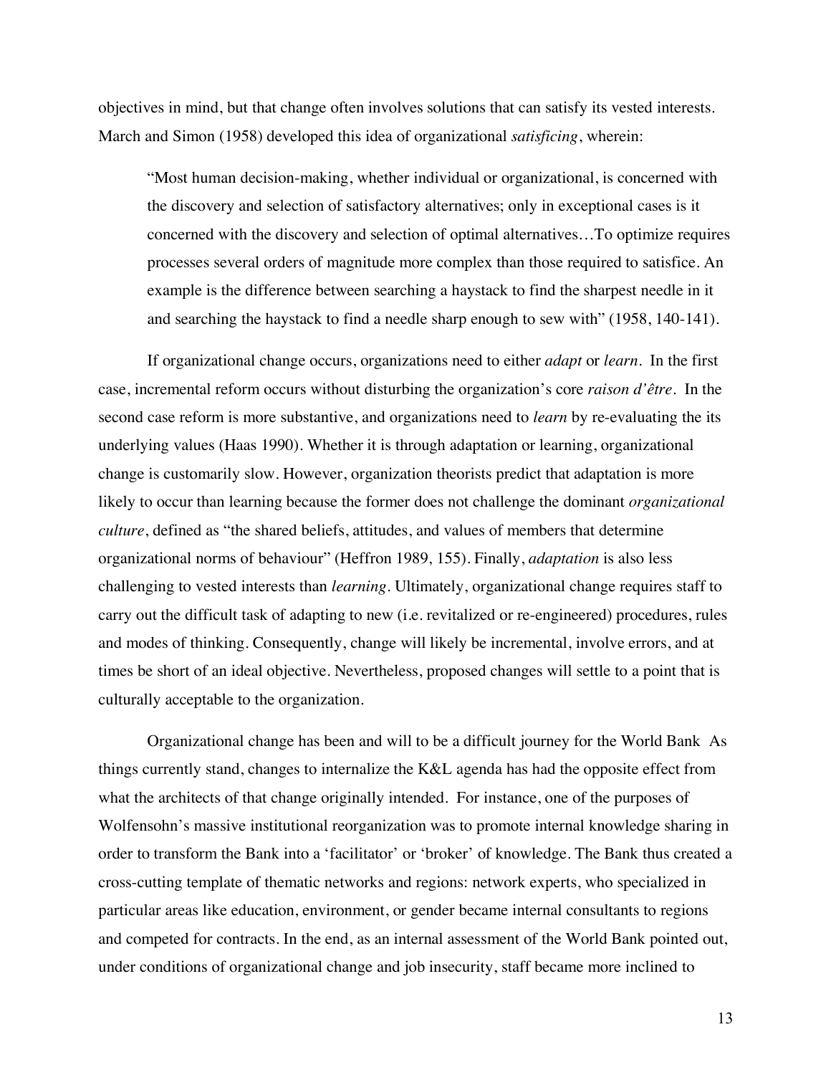objectives in mind, but that change often involves solutions that can satisfy its vested interests. March and Simon (1958) developed this idea of organizational *satisficing*, wherein:

"Most human decision-making, whether individual or organizational, is concerned with the discovery and selection of satisfactory alternatives; only in exceptional cases is it concerned with the discovery and selection of optimal alternatives…To optimize requires processes several orders of magnitude more complex than those required to satisfice. An example is the difference between searching a haystack to find the sharpest needle in it and searching the haystack to find a needle sharp enough to sew with" (1958, 140-141).

If organizational change occurs, organizations need to either *adapt* or *learn*. In the first case, incremental reform occurs without disturbing the organization's core *raison d'être.* In the second case reform is more substantive, and organizations need to *learn* by re-evaluating the its underlying values (Haas 1990). Whether it is through adaptation or learning, organizational change is customarily slow. However, organization theorists predict that adaptation is more likely to occur than learning because the former does not challenge the dominant *organizational culture*, defined as "the shared beliefs, attitudes, and values of members that determine organizational norms of behaviour" (Heffron 1989, 155). Finally, *adaptation* is also less challenging to vested interests than *learning*. Ultimately, organizational change requires staff to carry out the difficult task of adapting to new (i.e. revitalized or re-engineered) procedures, rules and modes of thinking. Consequently, change will likely be incremental, involve errors, and at times be short of an ideal objective. Nevertheless, proposed changes will settle to a point that is culturally acceptable to the organization.

Organizational change has been and will to be a difficult journey for the World Bank As things currently stand, changes to internalize the K&L agenda has had the opposite effect from what the architects of that change originally intended. For instance, one of the purposes of Wolfensohn's massive institutional reorganization was to promote internal knowledge sharing in order to transform the Bank into a 'facilitator' or 'broker' of knowledge. The Bank thus created a cross-cutting template of thematic networks and regions: network experts, who specialized in particular areas like education, environment, or gender became internal consultants to regions and competed for contracts. In the end, as an internal assessment of the World Bank pointed out, under conditions of organizational change and job insecurity, staff became more inclined to

13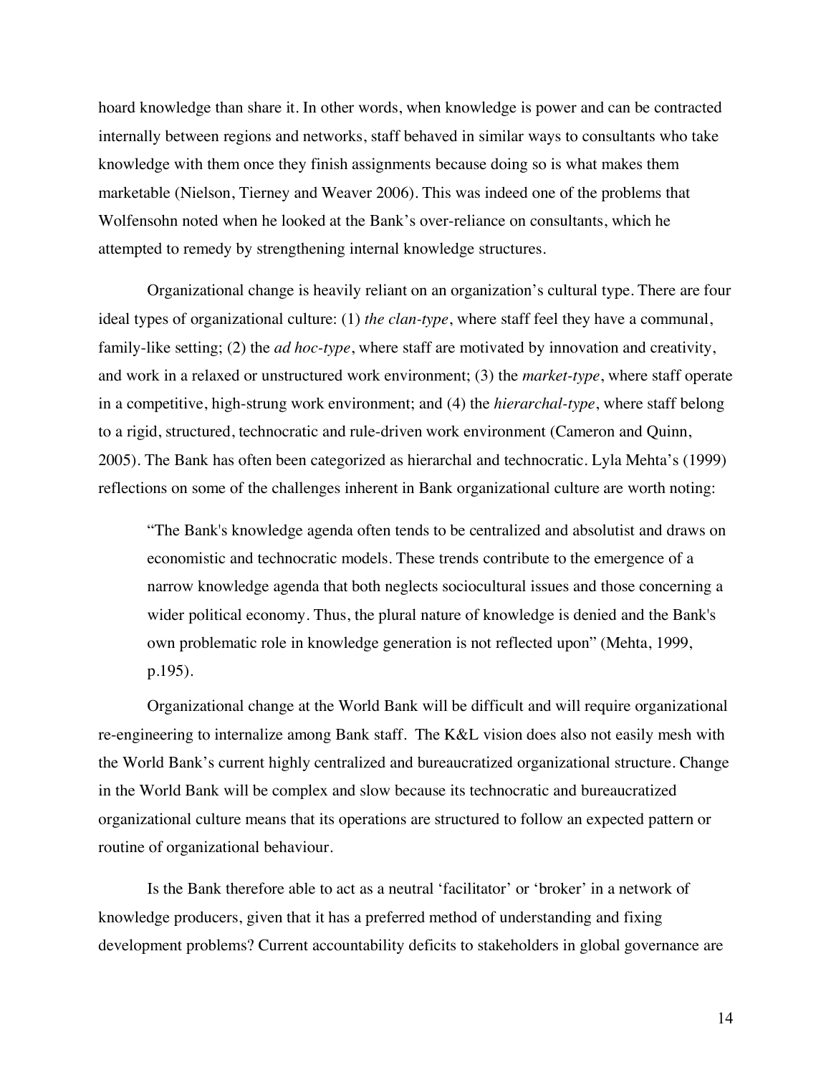hoard knowledge than share it. In other words, when knowledge is power and can be contracted internally between regions and networks, staff behaved in similar ways to consultants who take knowledge with them once they finish assignments because doing so is what makes them marketable (Nielson, Tierney and Weaver 2006). This was indeed one of the problems that Wolfensohn noted when he looked at the Bank's over-reliance on consultants, which he attempted to remedy by strengthening internal knowledge structures.

Organizational change is heavily reliant on an organization's cultural type. There are four ideal types of organizational culture: (1) *the clan-type*, where staff feel they have a communal, family-like setting; (2) the *ad hoc-type*, where staff are motivated by innovation and creativity, and work in a relaxed or unstructured work environment; (3) the *market-type*, where staff operate in a competitive, high-strung work environment; and (4) the *hierarchal-type*, where staff belong to a rigid, structured, technocratic and rule-driven work environment (Cameron and Quinn, 2005). The Bank has often been categorized as hierarchal and technocratic. Lyla Mehta's (1999) reflections on some of the challenges inherent in Bank organizational culture are worth noting:

"The Bank's knowledge agenda often tends to be centralized and absolutist and draws on economistic and technocratic models. These trends contribute to the emergence of a narrow knowledge agenda that both neglects sociocultural issues and those concerning a wider political economy. Thus, the plural nature of knowledge is denied and the Bank's own problematic role in knowledge generation is not reflected upon" (Mehta, 1999, p.195).

Organizational change at the World Bank will be difficult and will require organizational re-engineering to internalize among Bank staff. The K&L vision does also not easily mesh with the World Bank's current highly centralized and bureaucratized organizational structure. Change in the World Bank will be complex and slow because its technocratic and bureaucratized organizational culture means that its operations are structured to follow an expected pattern or routine of organizational behaviour.

Is the Bank therefore able to act as a neutral 'facilitator' or 'broker' in a network of knowledge producers, given that it has a preferred method of understanding and fixing development problems? Current accountability deficits to stakeholders in global governance are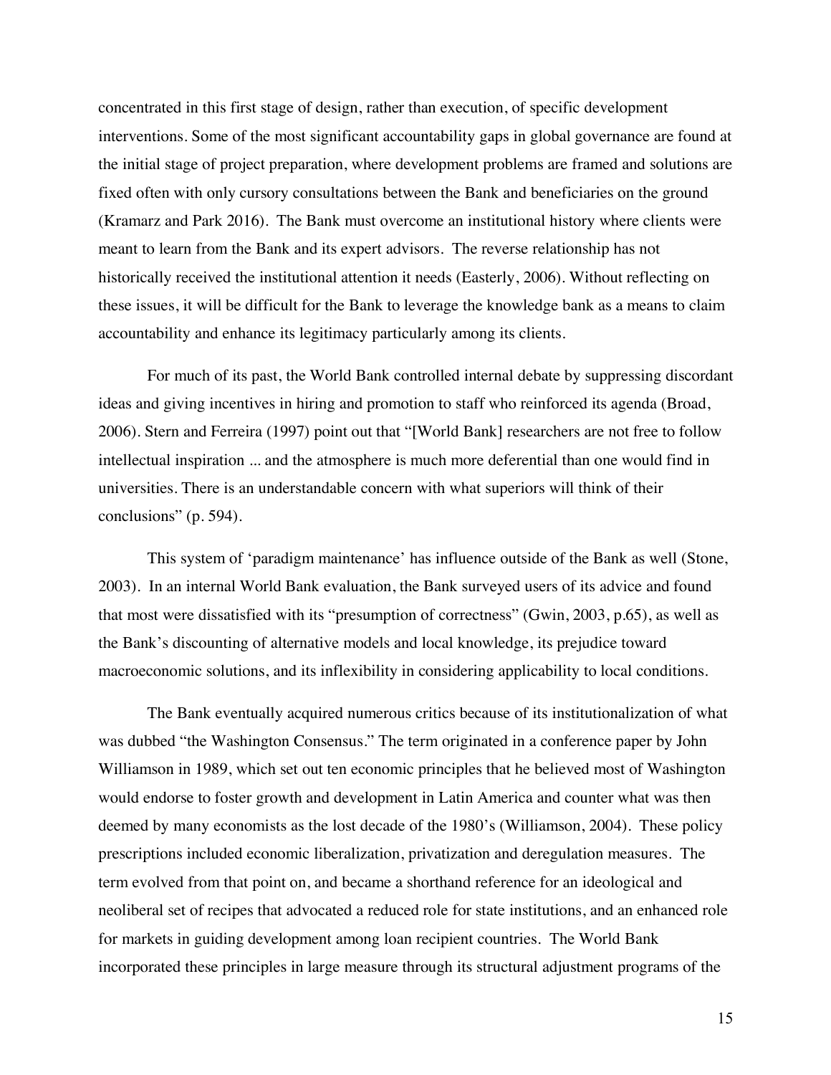concentrated in this first stage of design, rather than execution, of specific development interventions. Some of the most significant accountability gaps in global governance are found at the initial stage of project preparation, where development problems are framed and solutions are fixed often with only cursory consultations between the Bank and beneficiaries on the ground (Kramarz and Park 2016). The Bank must overcome an institutional history where clients were meant to learn from the Bank and its expert advisors. The reverse relationship has not historically received the institutional attention it needs (Easterly, 2006). Without reflecting on these issues, it will be difficult for the Bank to leverage the knowledge bank as a means to claim accountability and enhance its legitimacy particularly among its clients.

For much of its past, the World Bank controlled internal debate by suppressing discordant ideas and giving incentives in hiring and promotion to staff who reinforced its agenda (Broad, 2006). Stern and Ferreira (1997) point out that "[World Bank] researchers are not free to follow intellectual inspiration ... and the atmosphere is much more deferential than one would find in universities. There is an understandable concern with what superiors will think of their conclusions" (p. 594).

This system of 'paradigm maintenance' has influence outside of the Bank as well (Stone, 2003). In an internal World Bank evaluation, the Bank surveyed users of its advice and found that most were dissatisfied with its "presumption of correctness" (Gwin, 2003, p.65), as well as the Bank's discounting of alternative models and local knowledge, its prejudice toward macroeconomic solutions, and its inflexibility in considering applicability to local conditions.

The Bank eventually acquired numerous critics because of its institutionalization of what was dubbed "the Washington Consensus." The term originated in a conference paper by John Williamson in 1989, which set out ten economic principles that he believed most of Washington would endorse to foster growth and development in Latin America and counter what was then deemed by many economists as the lost decade of the 1980's (Williamson, 2004). These policy prescriptions included economic liberalization, privatization and deregulation measures. The term evolved from that point on, and became a shorthand reference for an ideological and neoliberal set of recipes that advocated a reduced role for state institutions, and an enhanced role for markets in guiding development among loan recipient countries. The World Bank incorporated these principles in large measure through its structural adjustment programs of the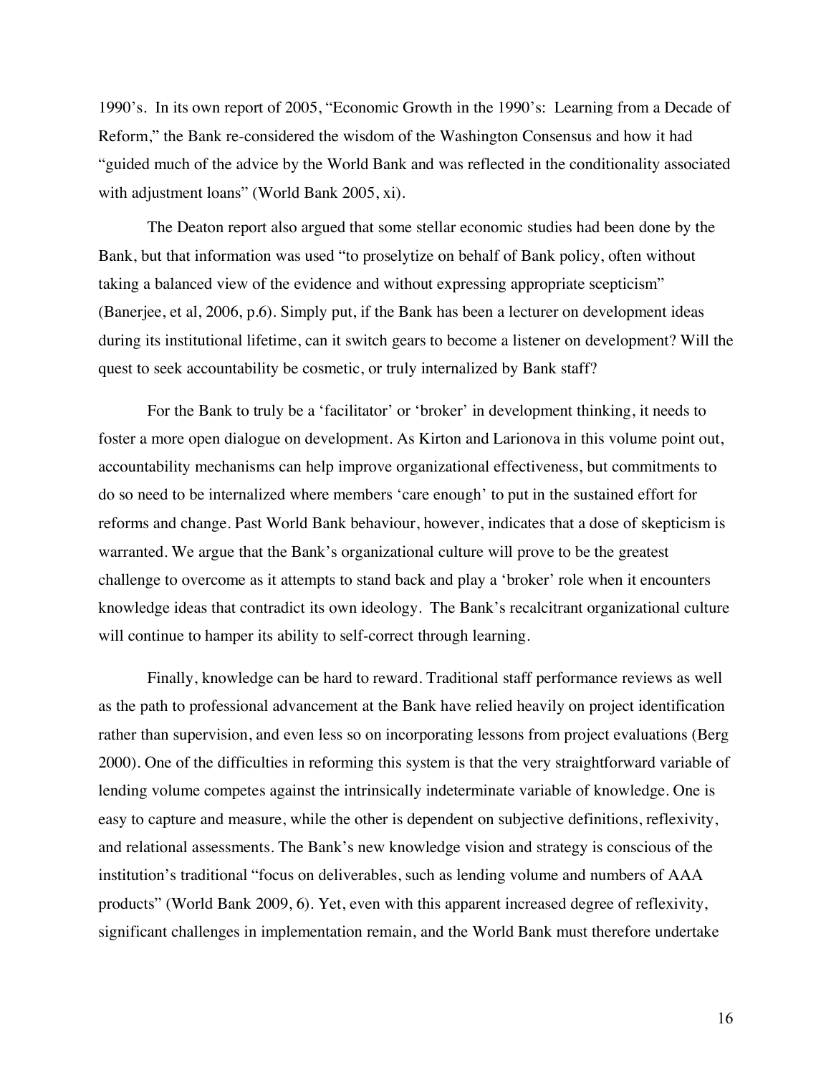1990's. In its own report of 2005, "Economic Growth in the 1990's: Learning from a Decade of Reform," the Bank re-considered the wisdom of the Washington Consensus and how it had "guided much of the advice by the World Bank and was reflected in the conditionality associated with adjustment loans" (World Bank 2005, xi).

The Deaton report also argued that some stellar economic studies had been done by the Bank, but that information was used "to proselytize on behalf of Bank policy, often without taking a balanced view of the evidence and without expressing appropriate scepticism" (Banerjee, et al, 2006, p.6). Simply put, if the Bank has been a lecturer on development ideas during its institutional lifetime, can it switch gears to become a listener on development? Will the quest to seek accountability be cosmetic, or truly internalized by Bank staff?

For the Bank to truly be a 'facilitator' or 'broker' in development thinking, it needs to foster a more open dialogue on development. As Kirton and Larionova in this volume point out, accountability mechanisms can help improve organizational effectiveness, but commitments to do so need to be internalized where members 'care enough' to put in the sustained effort for reforms and change. Past World Bank behaviour, however, indicates that a dose of skepticism is warranted. We argue that the Bank's organizational culture will prove to be the greatest challenge to overcome as it attempts to stand back and play a 'broker' role when it encounters knowledge ideas that contradict its own ideology. The Bank's recalcitrant organizational culture will continue to hamper its ability to self-correct through learning.

Finally, knowledge can be hard to reward. Traditional staff performance reviews as well as the path to professional advancement at the Bank have relied heavily on project identification rather than supervision, and even less so on incorporating lessons from project evaluations (Berg 2000). One of the difficulties in reforming this system is that the very straightforward variable of lending volume competes against the intrinsically indeterminate variable of knowledge. One is easy to capture and measure, while the other is dependent on subjective definitions, reflexivity, and relational assessments. The Bank's new knowledge vision and strategy is conscious of the institution's traditional "focus on deliverables, such as lending volume and numbers of AAA products" (World Bank 2009, 6). Yet, even with this apparent increased degree of reflexivity, significant challenges in implementation remain, and the World Bank must therefore undertake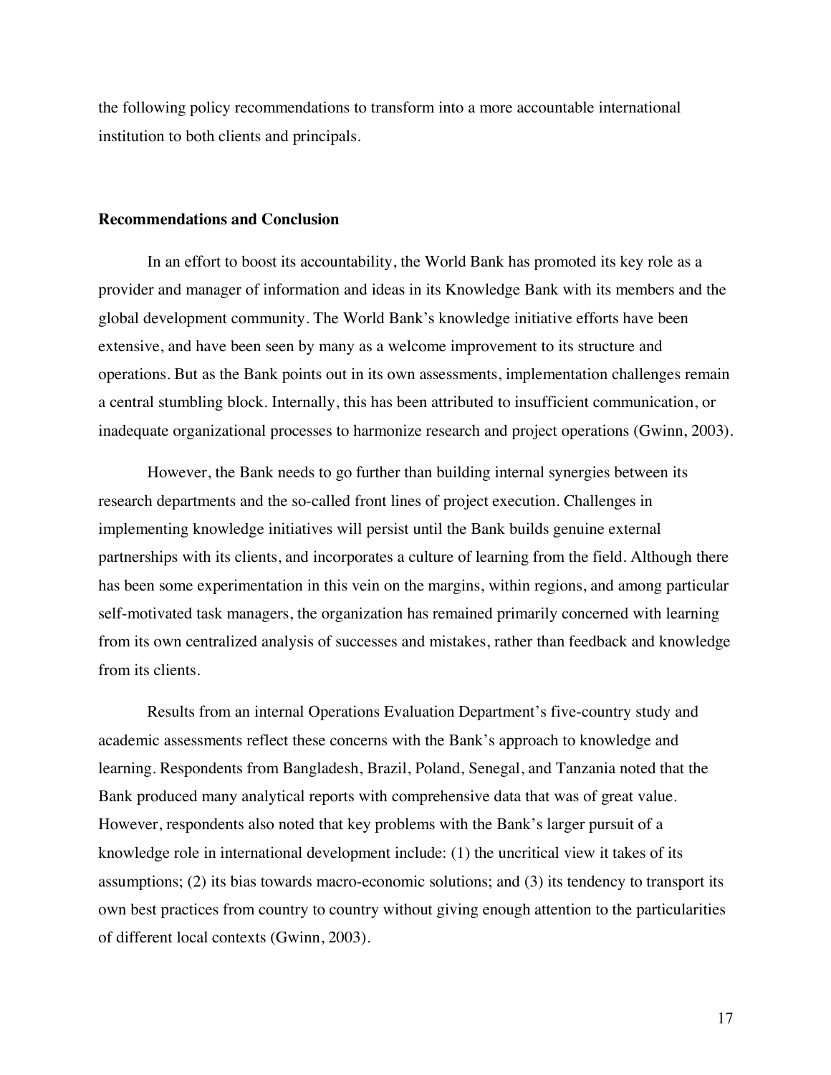the following policy recommendations to transform into a more accountable international institution to both clients and principals.

### **Recommendations and Conclusion**

In an effort to boost its accountability, the World Bank has promoted its key role as a provider and manager of information and ideas in its Knowledge Bank with its members and the global development community. The World Bank's knowledge initiative efforts have been extensive, and have been seen by many as a welcome improvement to its structure and operations. But as the Bank points out in its own assessments, implementation challenges remain a central stumbling block. Internally, this has been attributed to insufficient communication, or inadequate organizational processes to harmonize research and project operations (Gwinn, 2003).

However, the Bank needs to go further than building internal synergies between its research departments and the so-called front lines of project execution. Challenges in implementing knowledge initiatives will persist until the Bank builds genuine external partnerships with its clients, and incorporates a culture of learning from the field. Although there has been some experimentation in this vein on the margins, within regions, and among particular self-motivated task managers, the organization has remained primarily concerned with learning from its own centralized analysis of successes and mistakes, rather than feedback and knowledge from its clients.

Results from an internal Operations Evaluation Department's five-country study and academic assessments reflect these concerns with the Bank's approach to knowledge and learning. Respondents from Bangladesh, Brazil, Poland, Senegal, and Tanzania noted that the Bank produced many analytical reports with comprehensive data that was of great value. However, respondents also noted that key problems with the Bank's larger pursuit of a knowledge role in international development include: (1) the uncritical view it takes of its assumptions; (2) its bias towards macro-economic solutions; and (3) its tendency to transport its own best practices from country to country without giving enough attention to the particularities of different local contexts (Gwinn, 2003).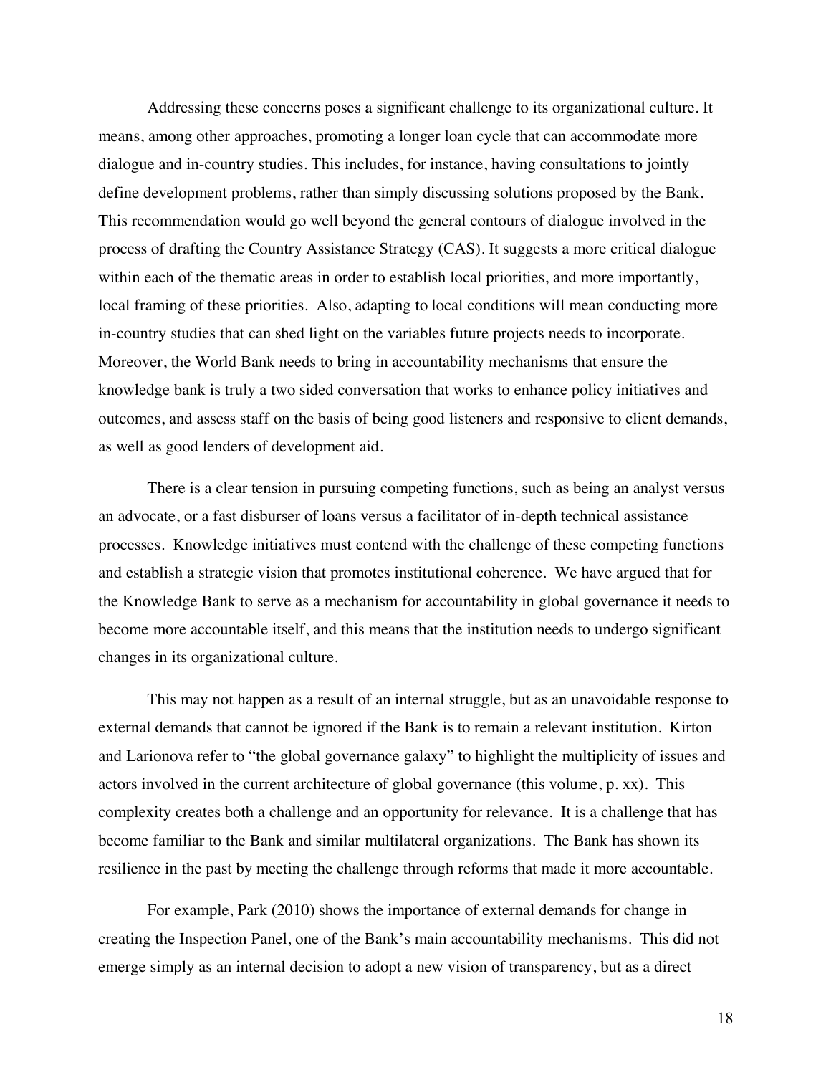Addressing these concerns poses a significant challenge to its organizational culture. It means, among other approaches, promoting a longer loan cycle that can accommodate more dialogue and in-country studies. This includes, for instance, having consultations to jointly define development problems, rather than simply discussing solutions proposed by the Bank. This recommendation would go well beyond the general contours of dialogue involved in the process of drafting the Country Assistance Strategy (CAS). It suggests a more critical dialogue within each of the thematic areas in order to establish local priorities, and more importantly, local framing of these priorities. Also, adapting to local conditions will mean conducting more in-country studies that can shed light on the variables future projects needs to incorporate. Moreover, the World Bank needs to bring in accountability mechanisms that ensure the knowledge bank is truly a two sided conversation that works to enhance policy initiatives and outcomes, and assess staff on the basis of being good listeners and responsive to client demands, as well as good lenders of development aid.

There is a clear tension in pursuing competing functions, such as being an analyst versus an advocate, or a fast disburser of loans versus a facilitator of in-depth technical assistance processes. Knowledge initiatives must contend with the challenge of these competing functions and establish a strategic vision that promotes institutional coherence. We have argued that for the Knowledge Bank to serve as a mechanism for accountability in global governance it needs to become more accountable itself, and this means that the institution needs to undergo significant changes in its organizational culture.

This may not happen as a result of an internal struggle, but as an unavoidable response to external demands that cannot be ignored if the Bank is to remain a relevant institution. Kirton and Larionova refer to "the global governance galaxy" to highlight the multiplicity of issues and actors involved in the current architecture of global governance (this volume, p. xx). This complexity creates both a challenge and an opportunity for relevance. It is a challenge that has become familiar to the Bank and similar multilateral organizations. The Bank has shown its resilience in the past by meeting the challenge through reforms that made it more accountable.

For example, Park (2010) shows the importance of external demands for change in creating the Inspection Panel, one of the Bank's main accountability mechanisms. This did not emerge simply as an internal decision to adopt a new vision of transparency, but as a direct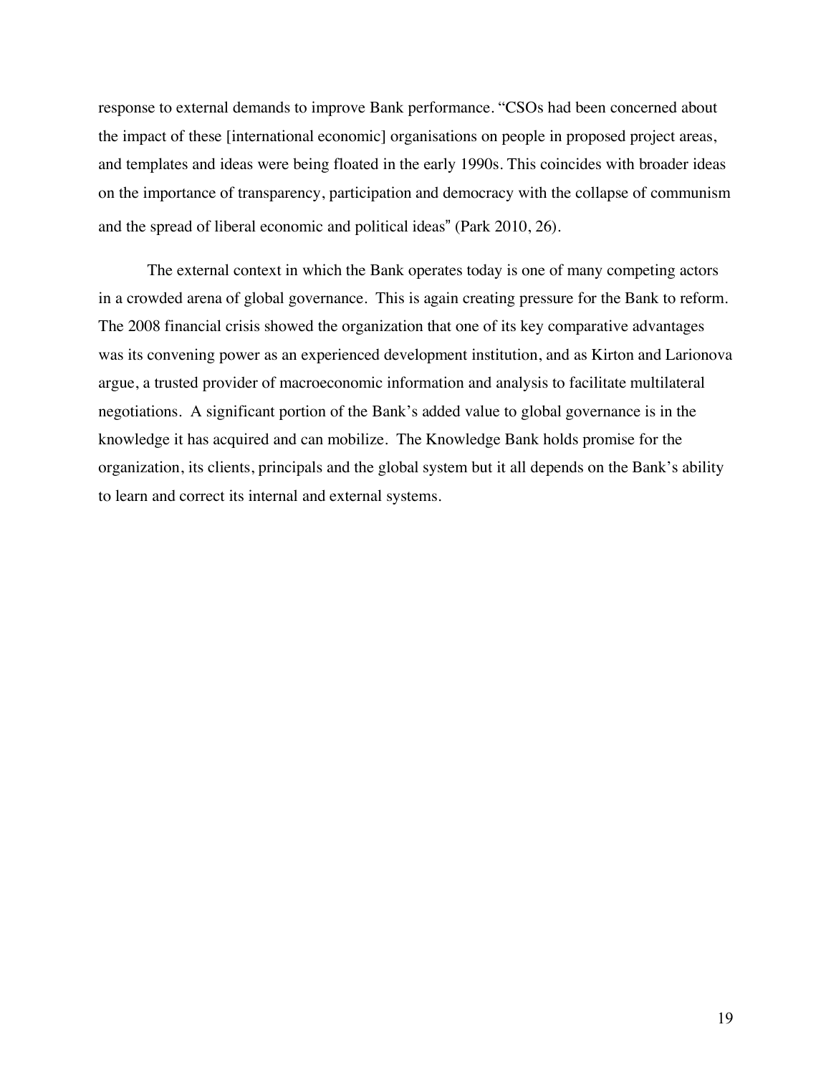response to external demands to improve Bank performance. "CSOs had been concerned about the impact of these [international economic] organisations on people in proposed project areas, and templates and ideas were being floated in the early 1990s. This coincides with broader ideas on the importance of transparency, participation and democracy with the collapse of communism and the spread of liberal economic and political ideas" (Park 2010, 26).

The external context in which the Bank operates today is one of many competing actors in a crowded arena of global governance. This is again creating pressure for the Bank to reform. The 2008 financial crisis showed the organization that one of its key comparative advantages was its convening power as an experienced development institution, and as Kirton and Larionova argue, a trusted provider of macroeconomic information and analysis to facilitate multilateral negotiations. A significant portion of the Bank's added value to global governance is in the knowledge it has acquired and can mobilize. The Knowledge Bank holds promise for the organization, its clients, principals and the global system but it all depends on the Bank's ability to learn and correct its internal and external systems.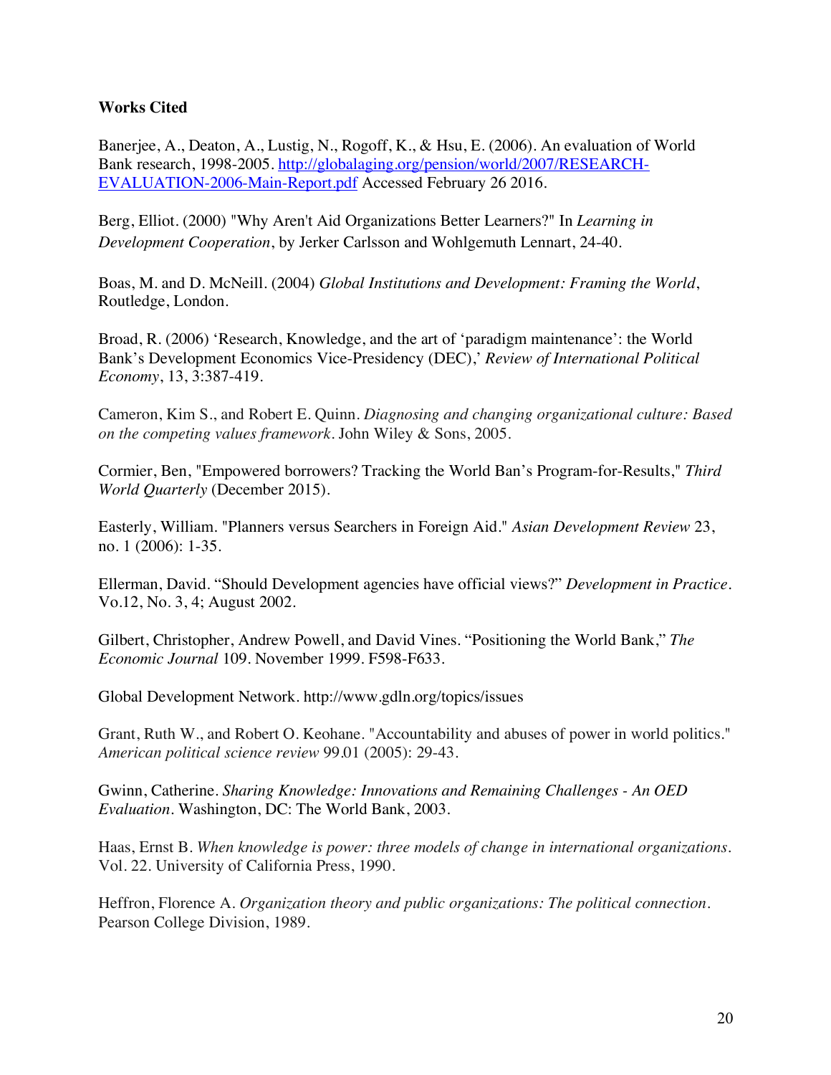### **Works Cited**

Banerjee, A., Deaton, A., Lustig, N., Rogoff, K., & Hsu, E. (2006). An evaluation of World Bank research, 1998-2005. http://globalaging.org/pension/world/2007/RESEARCH-EVALUATION-2006-Main-Report.pdf Accessed February 26 2016.

Berg, Elliot. (2000) "Why Aren't Aid Organizations Better Learners?" In *Learning in Development Cooperation*, by Jerker Carlsson and Wohlgemuth Lennart, 24-40.

Boas, M. and D. McNeill. (2004) *Global Institutions and Development: Framing the World*, Routledge, London.

Broad, R. (2006) 'Research, Knowledge, and the art of 'paradigm maintenance': the World Bank's Development Economics Vice-Presidency (DEC),' *Review of International Political Economy*, 13, 3:387-419.

Cameron, Kim S., and Robert E. Quinn. *Diagnosing and changing organizational culture: Based on the competing values framework*. John Wiley & Sons, 2005.

Cormier, Ben, "Empowered borrowers? Tracking the World Ban's Program-for-Results," *Third World Quarterly* (December 2015).

Easterly, William. "Planners versus Searchers in Foreign Aid." *Asian Development Review* 23, no. 1 (2006): 1-35.

Ellerman, David. "Should Development agencies have official views?" *Development in Practice*. Vo.12, No. 3, 4; August 2002.

Gilbert, Christopher, Andrew Powell, and David Vines. "Positioning the World Bank," *The Economic Journal* 109. November 1999. F598-F633.

Global Development Network. http://www.gdln.org/topics/issues

Grant, Ruth W., and Robert O. Keohane. "Accountability and abuses of power in world politics." *American political science review* 99.01 (2005): 29-43.

Gwinn, Catherine. *Sharing Knowledge: Innovations and Remaining Challenges - An OED Evaluation.* Washington, DC: The World Bank, 2003.

Haas, Ernst B. *When knowledge is power: three models of change in international organizations*. Vol. 22. University of California Press, 1990.

Heffron, Florence A. *Organization theory and public organizations: The political connection*. Pearson College Division, 1989.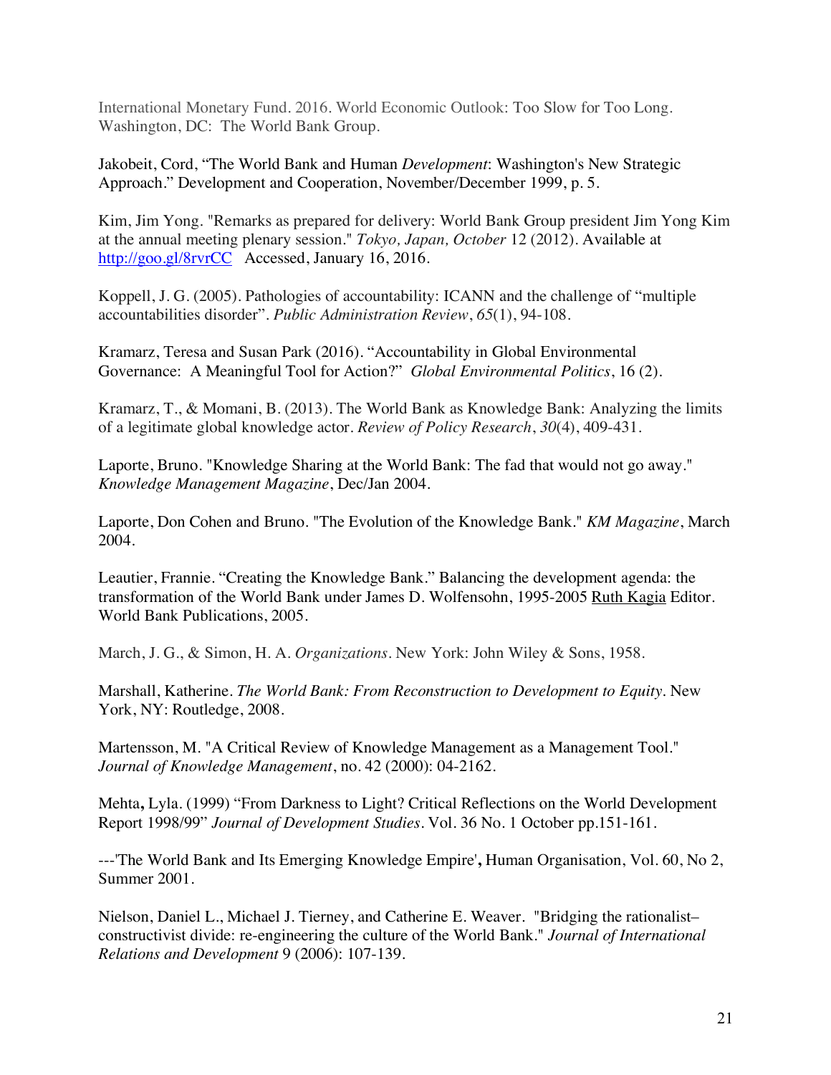International Monetary Fund. 2016. World Economic Outlook: Too Slow for Too Long. Washington, DC: The World Bank Group.

Jakobeit, Cord, "The World Bank and Human *Development*: Washington's New Strategic Approach." Development and Cooperation, November/December 1999, p. 5.

Kim, Jim Yong. "Remarks as prepared for delivery: World Bank Group president Jim Yong Kim at the annual meeting plenary session." *Tokyo, Japan, October* 12 (2012). Available at http://goo.gl/8rvrCC Accessed, January 16, 2016.

Koppell, J. G. (2005). Pathologies of accountability: ICANN and the challenge of "multiple accountabilities disorder". *Public Administration Review*, *65*(1), 94-108.

Kramarz, Teresa and Susan Park (2016). "Accountability in Global Environmental Governance: A Meaningful Tool for Action?" *Global Environmental Politics*, 16 (2).

Kramarz, T., & Momani, B. (2013). The World Bank as Knowledge Bank: Analyzing the limits of a legitimate global knowledge actor. *Review of Policy Research*, *30*(4), 409-431.

Laporte, Bruno. "Knowledge Sharing at the World Bank: The fad that would not go away." *Knowledge Management Magazine*, Dec/Jan 2004.

Laporte, Don Cohen and Bruno. "The Evolution of the Knowledge Bank." *KM Magazine*, March 2004.

Leautier, Frannie. "Creating the Knowledge Bank." Balancing the development agenda: the transformation of the World Bank under James D. Wolfensohn, 1995-2005 Ruth Kagia Editor. World Bank Publications, 2005.

March, J. G., & Simon, H. A. *Organizations*. New York: John Wiley & Sons, 1958.

Marshall, Katherine. *The World Bank: From Reconstruction to Development to Equity.* New York, NY: Routledge, 2008.

Martensson, M. "A Critical Review of Knowledge Management as a Management Tool." *Journal of Knowledge Management*, no. 42 (2000): 04-2162.

Mehta**,** Lyla. (1999) "From Darkness to Light? Critical Reflections on the World Development Report 1998/99" *Journal of Development Studies*. Vol. 36 No. 1 October pp.151-161.

---'The World Bank and Its Emerging Knowledge Empire'**,** Human Organisation, Vol. 60, No 2, Summer 2001.

Nielson, Daniel L., Michael J. Tierney, and Catherine E. Weaver. "Bridging the rationalist– constructivist divide: re-engineering the culture of the World Bank." *Journal of International Relations and Development* 9 (2006): 107-139.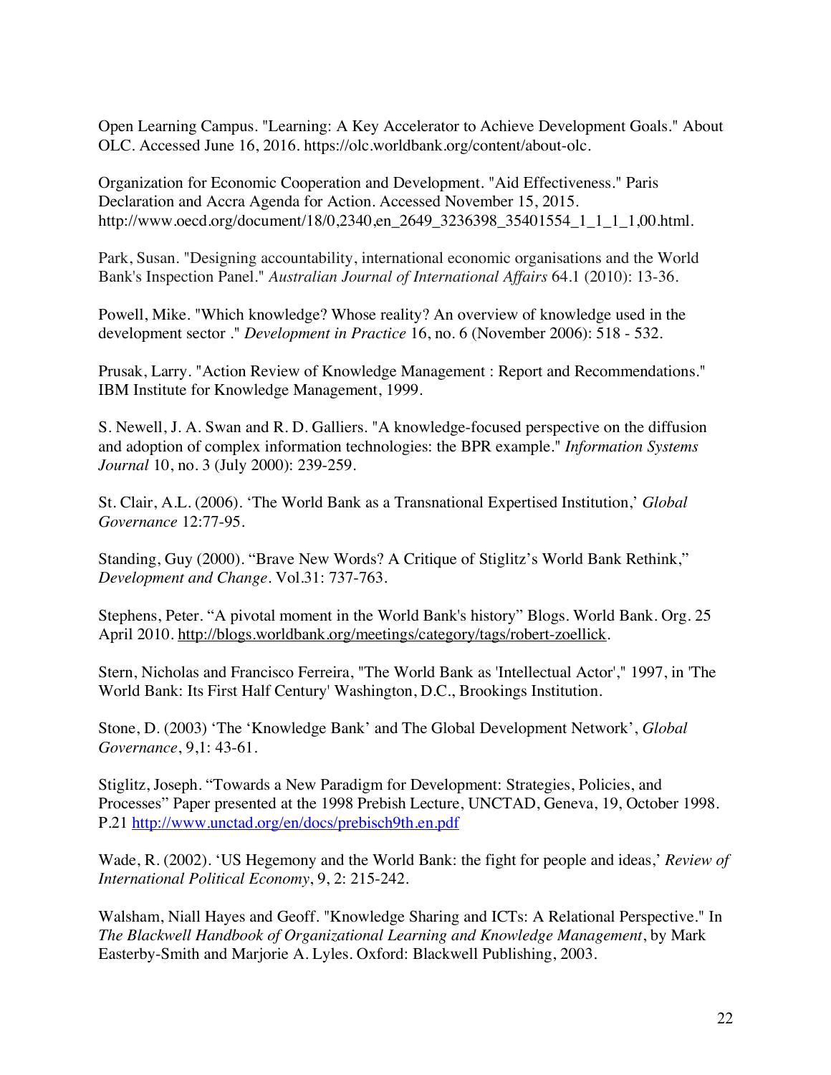Open Learning Campus. "Learning: A Key Accelerator to Achieve Development Goals." About OLC. Accessed June 16, 2016. https://olc.worldbank.org/content/about-olc.

Organization for Economic Cooperation and Development. "Aid Effectiveness." Paris Declaration and Accra Agenda for Action. Accessed November 15, 2015. http://www.oecd.org/document/18/0,2340,en\_2649\_3236398\_35401554\_1\_1\_1\_1,00.html.

Park, Susan. "Designing accountability, international economic organisations and the World Bank's Inspection Panel." *Australian Journal of International Affairs* 64.1 (2010): 13-36.

Powell, Mike. "Which knowledge? Whose reality? An overview of knowledge used in the development sector ." *Development in Practice* 16, no. 6 (November 2006): 518 - 532.

Prusak, Larry. "Action Review of Knowledge Management : Report and Recommendations." IBM Institute for Knowledge Management, 1999.

S. Newell, J. A. Swan and R. D. Galliers. "A knowledge-focused perspective on the diffusion and adoption of complex information technologies: the BPR example." *Information Systems Journal* 10, no. 3 (July 2000): 239-259.

St. Clair, A.L. (2006). 'The World Bank as a Transnational Expertised Institution,' *Global Governance* 12:77-95.

Standing, Guy (2000). "Brave New Words? A Critique of Stiglitz's World Bank Rethink," *Development and Change*. Vol.31: 737-763.

Stephens, Peter. "A pivotal moment in the World Bank's history" Blogs. World Bank. Org. 25 April 2010. http://blogs.worldbank.org/meetings/category/tags/robert-zoellick.

Stern, Nicholas and Francisco Ferreira, "The World Bank as 'Intellectual Actor'," 1997, in 'The World Bank: Its First Half Century' Washington, D.C., Brookings Institution.

Stone, D. (2003) 'The 'Knowledge Bank' and The Global Development Network', *Global Governance*, 9,1: 43-61.

Stiglitz, Joseph. "Towards a New Paradigm for Development: Strategies, Policies, and Processes" Paper presented at the 1998 Prebish Lecture, UNCTAD, Geneva, 19, October 1998. P.21 http://www.unctad.org/en/docs/prebisch9th.en.pdf

Wade, R. (2002). 'US Hegemony and the World Bank: the fight for people and ideas,' *Review of International Political Economy*, 9, 2: 215-242.

Walsham, Niall Hayes and Geoff. "Knowledge Sharing and ICTs: A Relational Perspective." In *The Blackwell Handbook of Organizational Learning and Knowledge Management*, by Mark Easterby-Smith and Marjorie A. Lyles. Oxford: Blackwell Publishing, 2003.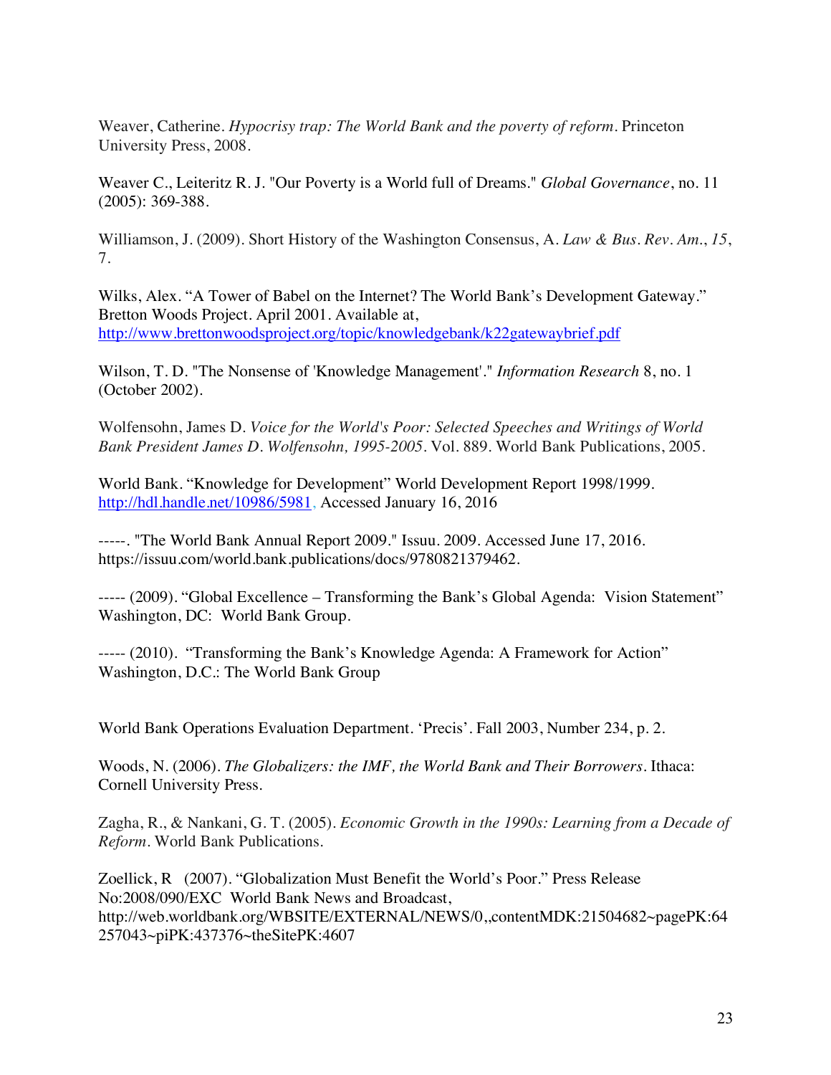Weaver, Catherine. *Hypocrisy trap: The World Bank and the poverty of reform*. Princeton University Press, 2008.

Weaver C., Leiteritz R. J. "Our Poverty is a World full of Dreams." *Global Governance*, no. 11 (2005): 369-388.

Williamson, J. (2009). Short History of the Washington Consensus, A. *Law & Bus. Rev. Am.*, *15*, 7.

Wilks, Alex. "A Tower of Babel on the Internet? The World Bank's Development Gateway." Bretton Woods Project. April 2001. Available at, http://www.brettonwoodsproject.org/topic/knowledgebank/k22gatewaybrief.pdf

Wilson, T. D. "The Nonsense of 'Knowledge Management'." *Information Research* 8, no. 1 (October 2002).

Wolfensohn, James D. *Voice for the World's Poor: Selected Speeches and Writings of World Bank President James D. Wolfensohn, 1995-2005*. Vol. 889. World Bank Publications, 2005.

World Bank. "Knowledge for Development" World Development Report 1998/1999. http://hdl.handle.net/10986/5981, Accessed January 16, 2016

-----. "The World Bank Annual Report 2009." Issuu. 2009. Accessed June 17, 2016. https://issuu.com/world.bank.publications/docs/9780821379462.

----- (2009). "Global Excellence – Transforming the Bank's Global Agenda: Vision Statement" Washington, DC: World Bank Group.

----- (2010). "Transforming the Bank's Knowledge Agenda: A Framework for Action" Washington, D.C.: The World Bank Group

World Bank Operations Evaluation Department. 'Precis'. Fall 2003, Number 234, p. 2.

Woods, N. (2006). *The Globalizers: the IMF, the World Bank and Their Borrowers*. Ithaca: Cornell University Press.

Zagha, R., & Nankani, G. T. (2005). *Economic Growth in the 1990s: Learning from a Decade of Reform*. World Bank Publications.

Zoellick, R (2007). "Globalization Must Benefit the World's Poor." Press Release No:2008/090/EXC World Bank News and Broadcast, http://web.worldbank.org/WBSITE/EXTERNAL/NEWS/0,,contentMDK:21504682~pagePK:64 257043~piPK:437376~theSitePK:4607